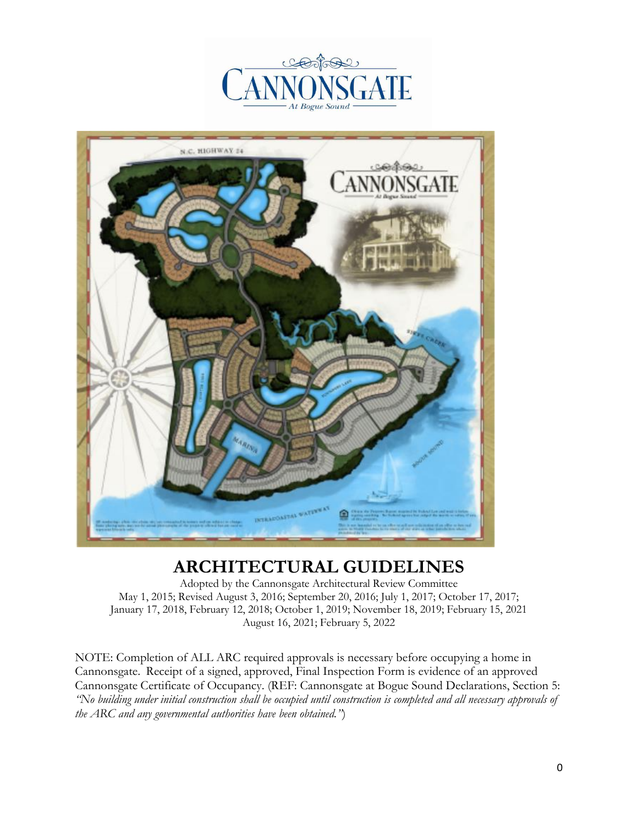



# **ARCHITECTURAL GUIDELINES**

Adopted by the Cannonsgate Architectural Review Committee May 1, 2015; Revised August 3, 2016; September 20, 2016; July 1, 2017; October 17, 2017; January 17, 2018, February 12, 2018; October 1, 2019; November 18, 2019; February 15, 2021 August 16, 2021; February 5, 2022

NOTE: Completion of ALL ARC required approvals is necessary before occupying a home in Cannonsgate. Receipt of a signed, approved, Final Inspection Form is evidence of an approved Cannonsgate Certificate of Occupancy. (REF: Cannonsgate at Bogue Sound Declarations, Section 5: *"No building under initial construction shall be occupied until construction is completed and all necessary approvals of the ARC and any governmental authorities have been obtained."*)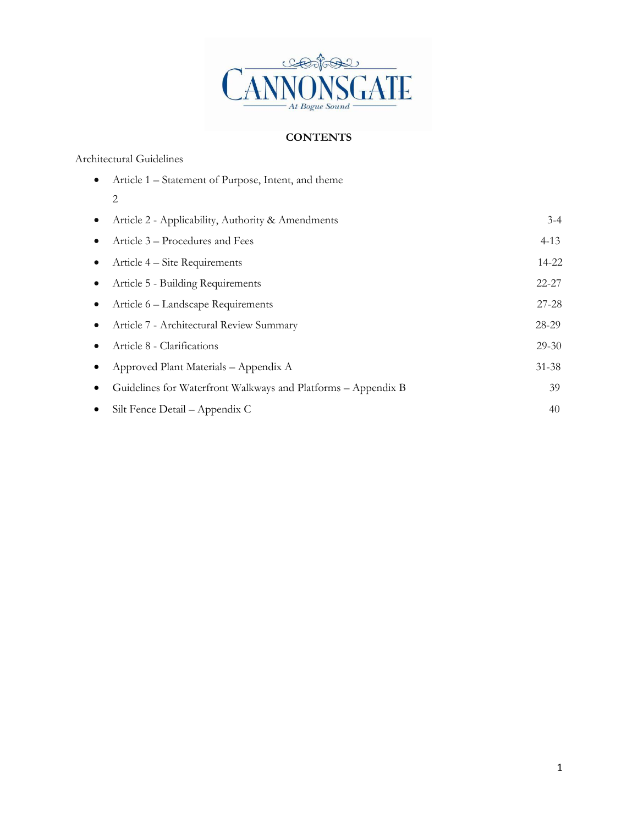

### **CONTENTS**

#### Architectural Guidelines

| $\bullet$ | Article 1 – Statement of Purpose, Intent, and theme           |           |
|-----------|---------------------------------------------------------------|-----------|
|           | 2                                                             |           |
| $\bullet$ | Article 2 - Applicability, Authority & Amendments             | $3 - 4$   |
| $\bullet$ | Article 3 – Procedures and Fees                               | $4 - 13$  |
| $\bullet$ | Article 4 – Site Requirements                                 | 14-22     |
| $\bullet$ | Article 5 - Building Requirements                             | $22 - 27$ |
| $\bullet$ | Article 6 - Landscape Requirements                            | $27 - 28$ |
| $\bullet$ | Article 7 - Architectural Review Summary                      | 28-29     |
| $\bullet$ | Article 8 - Clarifications                                    | $29 - 30$ |
| $\bullet$ | Approved Plant Materials - Appendix A                         | $31 - 38$ |
| $\bullet$ | Guidelines for Waterfront Walkways and Platforms - Appendix B | 39        |
| $\bullet$ | Silt Fence Detail – Appendix C                                | 40        |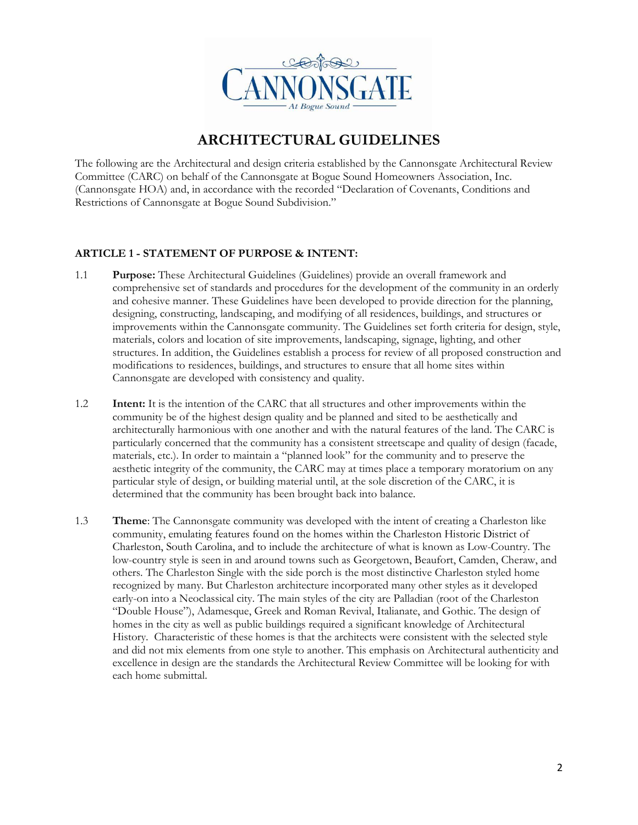

## **ARCHITECTURAL GUIDELINES**

The following are the Architectural and design criteria established by the Cannonsgate Architectural Review Committee (CARC) on behalf of the Cannonsgate at Bogue Sound Homeowners Association, Inc. (Cannonsgate HOA) and, in accordance with the recorded "Declaration of Covenants, Conditions and Restrictions of Cannonsgate at Bogue Sound Subdivision."

#### **ARTICLE 1 - STATEMENT OF PURPOSE & INTENT:**

- 1.1 **Purpose:** These Architectural Guidelines (Guidelines) provide an overall framework and comprehensive set of standards and procedures for the development of the community in an orderly and cohesive manner. These Guidelines have been developed to provide direction for the planning, designing, constructing, landscaping, and modifying of all residences, buildings, and structures or improvements within the Cannonsgate community. The Guidelines set forth criteria for design, style, materials, colors and location of site improvements, landscaping, signage, lighting, and other structures. In addition, the Guidelines establish a process for review of all proposed construction and modifications to residences, buildings, and structures to ensure that all home sites within Cannonsgate are developed with consistency and quality.
- 1.2 **Intent:** It is the intention of the CARC that all structures and other improvements within the community be of the highest design quality and be planned and sited to be aesthetically and architecturally harmonious with one another and with the natural features of the land. The CARC is particularly concerned that the community has a consistent streetscape and quality of design (facade, materials, etc.). In order to maintain a "planned look" for the community and to preserve the aesthetic integrity of the community, the CARC may at times place a temporary moratorium on any particular style of design, or building material until, at the sole discretion of the CARC, it is determined that the community has been brought back into balance.
- 1.3 **Theme**: The Cannonsgate community was developed with the intent of creating a Charleston like community, emulating features found on the homes within the Charleston Historic District of Charleston, South Carolina, and to include the architecture of what is known as Low-Country. The low-country style is seen in and around towns such as Georgetown, Beaufort, Camden, Cheraw, and others. The Charleston Single with the side porch is the most distinctive Charleston styled home recognized by many. But Charleston architecture incorporated many other styles as it developed early-on into a Neoclassical city. The main styles of the city are Palladian (root of the Charleston "Double House"), Adamesque, Greek and Roman Revival, Italianate, and Gothic. The design of homes in the city as well as public buildings required a significant knowledge of Architectural History. Characteristic of these homes is that the architects were consistent with the selected style and did not mix elements from one style to another. This emphasis on Architectural authenticity and excellence in design are the standards the Architectural Review Committee will be looking for with each home submittal.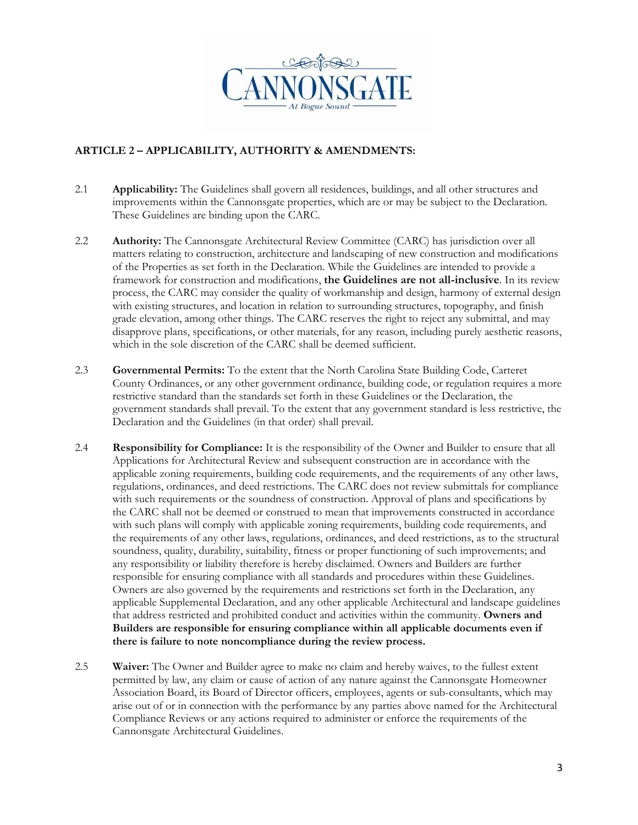

#### **ARTICLE 2 – APPLICABILITY, AUTHORITY & AMENDMENTS:**

- 2.1 **Applicability:** The Guidelines shall govern all residences, buildings, and all other structures and improvements within the Cannonsgate properties, which are or may be subject to the Declaration. These Guidelines are binding upon the CARC.
- 2.2 **Authority:** The Cannonsgate Architectural Review Committee (CARC) has jurisdiction over all matters relating to construction, architecture and landscaping of new construction and modifications of the Properties as set forth in the Declaration. While the Guidelines are intended to provide a framework for construction and modifications, **the Guidelines are not all-inclusive**. In its review process, the CARC may consider the quality of workmanship and design, harmony of external design with existing structures, and location in relation to surrounding structures, topography, and finish grade elevation, among other things. The CARC reserves the right to reject any submittal, and may disapprove plans, specifications, or other materials, for any reason, including purely aesthetic reasons, which in the sole discretion of the CARC shall be deemed sufficient.
- 2.3 **Governmental Permits:** To the extent that the North Carolina State Building Code, Carteret County Ordinances, or any other government ordinance, building code, or regulation requires a more restrictive standard than the standards set forth in these Guidelines or the Declaration, the government standards shall prevail. To the extent that any government standard is less restrictive, the Declaration and the Guidelines (in that order) shall prevail.
- 2.4 **Responsibility for Compliance:** It is the responsibility of the Owner and Builder to ensure that all Applications for Architectural Review and subsequent construction are in accordance with the applicable zoning requirements, building code requirements, and the requirements of any other laws, regulations, ordinances, and deed restrictions. The CARC does not review submittals for compliance with such requirements or the soundness of construction. Approval of plans and specifications by the CARC shall not be deemed or construed to mean that improvements constructed in accordance with such plans will comply with applicable zoning requirements, building code requirements, and the requirements of any other laws, regulations, ordinances, and deed restrictions, as to the structural soundness, quality, durability, suitability, fitness or proper functioning of such improvements; and any responsibility or liability therefore is hereby disclaimed. Owners and Builders are further responsible for ensuring compliance with all standards and procedures within these Guidelines. Owners are also governed by the requirements and restrictions set forth in the Declaration, any applicable Supplemental Declaration, and any other applicable Architectural and landscape guidelines that address restricted and prohibited conduct and activities within the community. **Owners and Builders are responsible for ensuring compliance within all applicable documents even if there is failure to note noncompliance during the review process.**
- 2.5 **Waiver:** The Owner and Builder agree to make no claim and hereby waives, to the fullest extent permitted by law, any claim or cause of action of any nature against the Cannonsgate Homeowner Association Board, its Board of Director officers, employees, agents or sub-consultants, which may arise out of or in connection with the performance by any parties above named for the Architectural Compliance Reviews or any actions required to administer or enforce the requirements of the Cannonsgate Architectural Guidelines.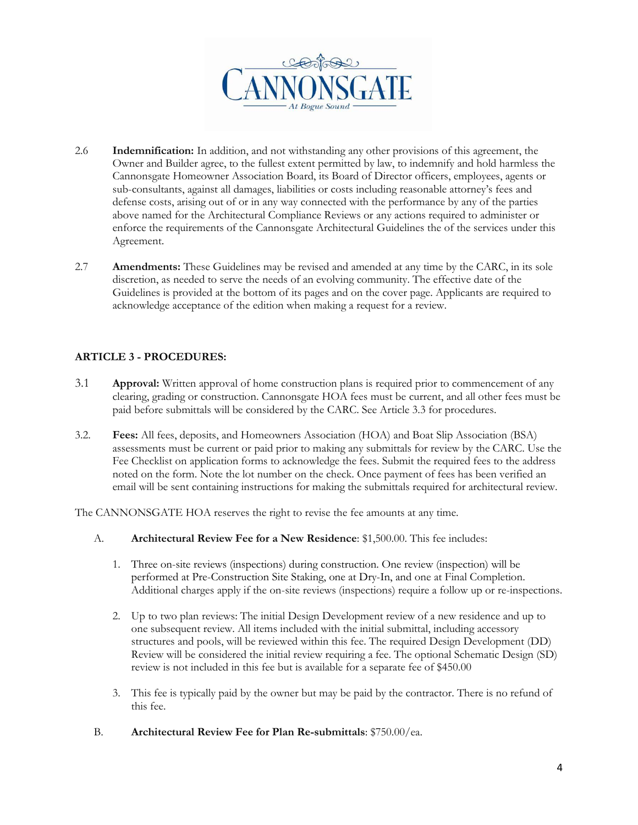

- 2.6 **Indemnification:** In addition, and not withstanding any other provisions of this agreement, the Owner and Builder agree, to the fullest extent permitted by law, to indemnify and hold harmless the Cannonsgate Homeowner Association Board, its Board of Director officers, employees, agents or sub-consultants, against all damages, liabilities or costs including reasonable attorney's fees and defense costs, arising out of or in any way connected with the performance by any of the parties above named for the Architectural Compliance Reviews or any actions required to administer or enforce the requirements of the Cannonsgate Architectural Guidelines the of the services under this Agreement.
- 2.7 **Amendments:** These Guidelines may be revised and amended at any time by the CARC, in its sole discretion, as needed to serve the needs of an evolving community. The effective date of the Guidelines is provided at the bottom of its pages and on the cover page. Applicants are required to acknowledge acceptance of the edition when making a request for a review.

#### **ARTICLE 3 - PROCEDURES:**

- 3.1 **Approval:** Written approval of home construction plans is required prior to commencement of any clearing, grading or construction. Cannonsgate HOA fees must be current, and all other fees must be paid before submittals will be considered by the CARC. See Article 3.3 for procedures.
- 3.2. **Fees:** All fees, deposits, and Homeowners Association (HOA) and Boat Slip Association (BSA) assessments must be current or paid prior to making any submittals for review by the CARC. Use the Fee Checklist on application forms to acknowledge the fees. Submit the required fees to the address noted on the form. Note the lot number on the check. Once payment of fees has been verified an email will be sent containing instructions for making the submittals required for architectural review.

The CANNONSGATE HOA reserves the right to revise the fee amounts at any time.

- A. **Architectural Review Fee for a New Residence**: \$1,500.00. This fee includes:
	- 1. Three on-site reviews (inspections) during construction. One review (inspection) will be performed at Pre-Construction Site Staking, one at Dry-In, and one at Final Completion. Additional charges apply if the on-site reviews (inspections) require a follow up or re-inspections.
	- 2. Up to two plan reviews: The initial Design Development review of a new residence and up to one subsequent review. All items included with the initial submittal, including accessory structures and pools, will be reviewed within this fee. The required Design Development (DD) Review will be considered the initial review requiring a fee. The optional Schematic Design (SD) review is not included in this fee but is available for a separate fee of \$450.00
	- 3. This fee is typically paid by the owner but may be paid by the contractor. There is no refund of this fee.
- B. **Architectural Review Fee for Plan Re-submittals**: \$750.00/ea.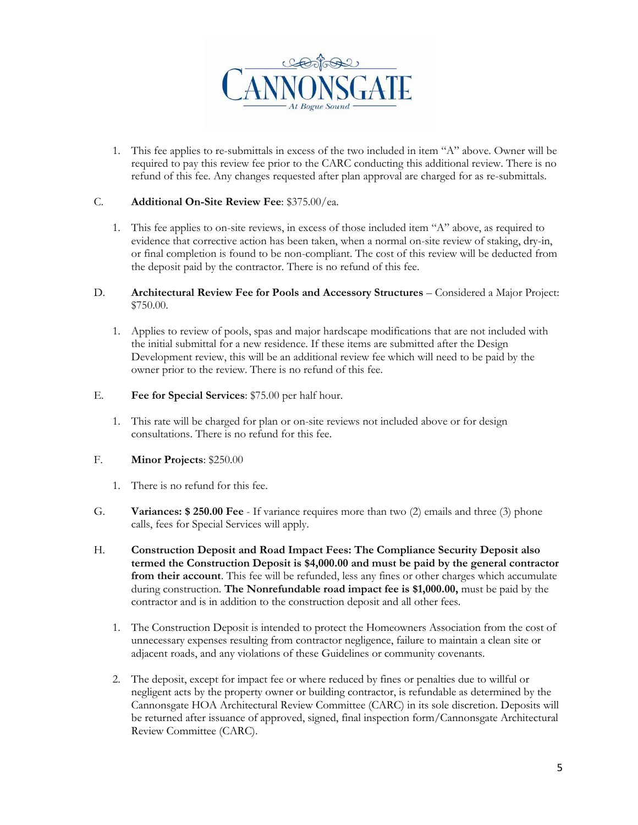

1. This fee applies to re-submittals in excess of the two included in item "A" above. Owner will be required to pay this review fee prior to the CARC conducting this additional review. There is no refund of this fee. Any changes requested after plan approval are charged for as re-submittals.

#### C. **Additional On-Site Review Fee**: \$375.00/ea.

- 1. This fee applies to on-site reviews, in excess of those included item "A" above, as required to evidence that corrective action has been taken, when a normal on-site review of staking, dry-in, or final completion is found to be non-compliant. The cost of this review will be deducted from the deposit paid by the contractor. There is no refund of this fee.
- D. **Architectural Review Fee for Pools and Accessory Structures**  Considered a Major Project: \$750.00.
	- 1. Applies to review of pools, spas and major hardscape modifications that are not included with the initial submittal for a new residence. If these items are submitted after the Design Development review, this will be an additional review fee which will need to be paid by the owner prior to the review. There is no refund of this fee.
- E. **Fee for Special Services**: \$75.00 per half hour.
	- 1. This rate will be charged for plan or on-site reviews not included above or for design consultations. There is no refund for this fee.
- F. **Minor Projects**: \$250.00
	- 1. There is no refund for this fee.
- G. **Variances: \$ 250.00 Fee**  If variance requires more than two (2) emails and three (3) phone calls, fees for Special Services will apply.
- H. **Construction Deposit and Road Impact Fees: The Compliance Security Deposit also termed the Construction Deposit is \$4,000.00 and must be paid by the general contractor from their account**. This fee will be refunded, less any fines or other charges which accumulate during construction. **The Nonrefundable road impact fee is \$1,000.00,** must be paid by the contractor and is in addition to the construction deposit and all other fees.
	- 1. The Construction Deposit is intended to protect the Homeowners Association from the cost of unnecessary expenses resulting from contractor negligence, failure to maintain a clean site or adjacent roads, and any violations of these Guidelines or community covenants.
	- 2. The deposit, except for impact fee or where reduced by fines or penalties due to willful or negligent acts by the property owner or building contractor, is refundable as determined by the Cannonsgate HOA Architectural Review Committee (CARC) in its sole discretion. Deposits will be returned after issuance of approved, signed, final inspection form/Cannonsgate Architectural Review Committee (CARC).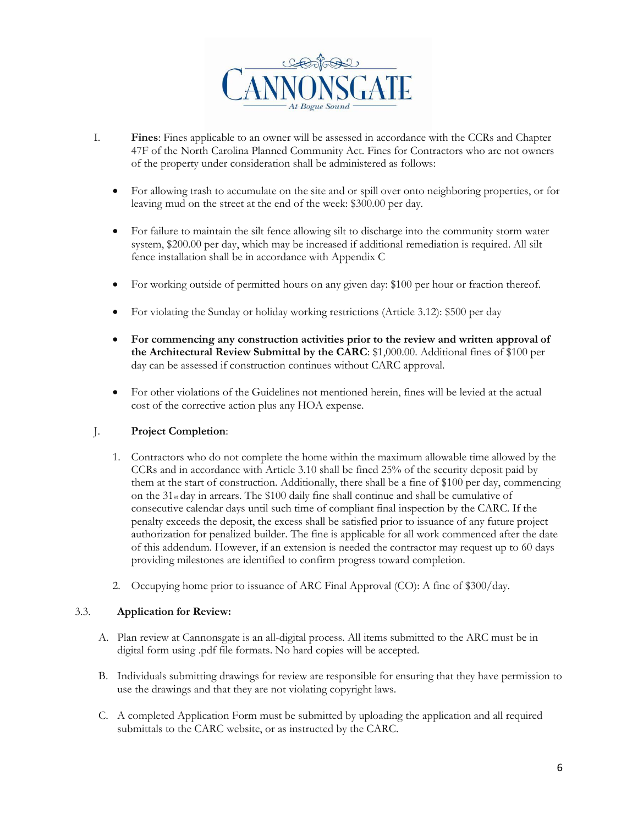

- I. **Fines**: Fines applicable to an owner will be assessed in accordance with the CCRs and Chapter 47F of the North Carolina Planned Community Act. Fines for Contractors who are not owners of the property under consideration shall be administered as follows:
	- For allowing trash to accumulate on the site and or spill over onto neighboring properties, or for leaving mud on the street at the end of the week: \$300.00 per day.
	- For failure to maintain the silt fence allowing silt to discharge into the community storm water system, \$200.00 per day, which may be increased if additional remediation is required. All silt fence installation shall be in accordance with Appendix C
	- For working outside of permitted hours on any given day: \$100 per hour or fraction thereof.
	- For violating the Sunday or holiday working restrictions (Article 3.12): \$500 per day
	- **For commencing any construction activities prior to the review and written approval of the Architectural Review Submittal by the CARC**: \$1,000.00. Additional fines of \$100 per day can be assessed if construction continues without CARC approval.
	- For other violations of the Guidelines not mentioned herein, fines will be levied at the actual cost of the corrective action plus any HOA expense.

#### J. **Project Completion**:

- 1. Contractors who do not complete the home within the maximum allowable time allowed by the CCRs and in accordance with Article 3.10 shall be fined 25% of the security deposit paid by them at the start of construction. Additionally, there shall be a fine of \$100 per day, commencing on the 31st day in arrears. The \$100 daily fine shall continue and shall be cumulative of consecutive calendar days until such time of compliant final inspection by the CARC. If the penalty exceeds the deposit, the excess shall be satisfied prior to issuance of any future project authorization for penalized builder. The fine is applicable for all work commenced after the date of this addendum. However, if an extension is needed the contractor may request up to 60 days providing milestones are identified to confirm progress toward completion.
- 2. Occupying home prior to issuance of ARC Final Approval (CO): A fine of \$300/day.

#### 3.3. **Application for Review:**

- A. Plan review at Cannonsgate is an all-digital process. All items submitted to the ARC must be in digital form using .pdf file formats. No hard copies will be accepted.
- B. Individuals submitting drawings for review are responsible for ensuring that they have permission to use the drawings and that they are not violating copyright laws.
- C. A completed Application Form must be submitted by uploading the application and all required submittals to the CARC website, or as instructed by the CARC.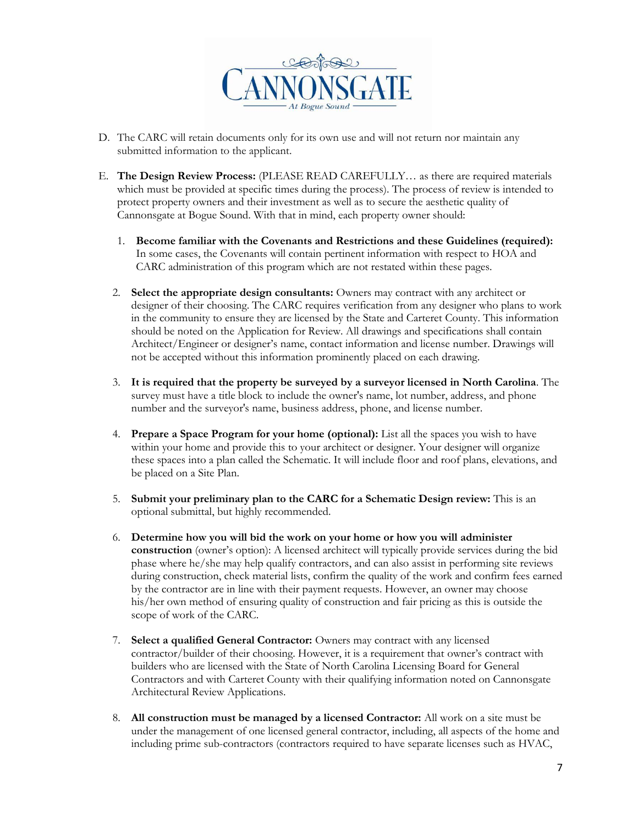

- D. The CARC will retain documents only for its own use and will not return nor maintain any submitted information to the applicant.
- E. **The Design Review Process:** (PLEASE READ CAREFULLY… as there are required materials which must be provided at specific times during the process). The process of review is intended to protect property owners and their investment as well as to secure the aesthetic quality of Cannonsgate at Bogue Sound. With that in mind, each property owner should:
	- 1. **Become familiar with the Covenants and Restrictions and these Guidelines (required):**  In some cases, the Covenants will contain pertinent information with respect to HOA and CARC administration of this program which are not restated within these pages.
	- 2. **Select the appropriate design consultants:** Owners may contract with any architect or designer of their choosing. The CARC requires verification from any designer who plans to work in the community to ensure they are licensed by the State and Carteret County. This information should be noted on the Application for Review. All drawings and specifications shall contain Architect/Engineer or designer's name, contact information and license number. Drawings will not be accepted without this information prominently placed on each drawing.
	- 3. **It is required that the property be surveyed by a surveyor licensed in North Carolina**. The survey must have a title block to include the owner's name, lot number, address, and phone number and the surveyor's name, business address, phone, and license number.
	- 4. **Prepare a Space Program for your home (optional):** List all the spaces you wish to have within your home and provide this to your architect or designer. Your designer will organize these spaces into a plan called the Schematic. It will include floor and roof plans, elevations, and be placed on a Site Plan.
	- 5. **Submit your preliminary plan to the CARC for a Schematic Design review:** This is an optional submittal, but highly recommended.
	- 6. **Determine how you will bid the work on your home or how you will administer construction** (owner's option): A licensed architect will typically provide services during the bid phase where he/she may help qualify contractors, and can also assist in performing site reviews during construction, check material lists, confirm the quality of the work and confirm fees earned by the contractor are in line with their payment requests. However, an owner may choose his/her own method of ensuring quality of construction and fair pricing as this is outside the scope of work of the CARC.
	- 7. **Select a qualified General Contractor:** Owners may contract with any licensed contractor/builder of their choosing. However, it is a requirement that owner's contract with builders who are licensed with the State of North Carolina Licensing Board for General Contractors and with Carteret County with their qualifying information noted on Cannonsgate Architectural Review Applications.
	- 8. **All construction must be managed by a licensed Contractor:** All work on a site must be under the management of one licensed general contractor, including, all aspects of the home and including prime sub-contractors (contractors required to have separate licenses such as HVAC,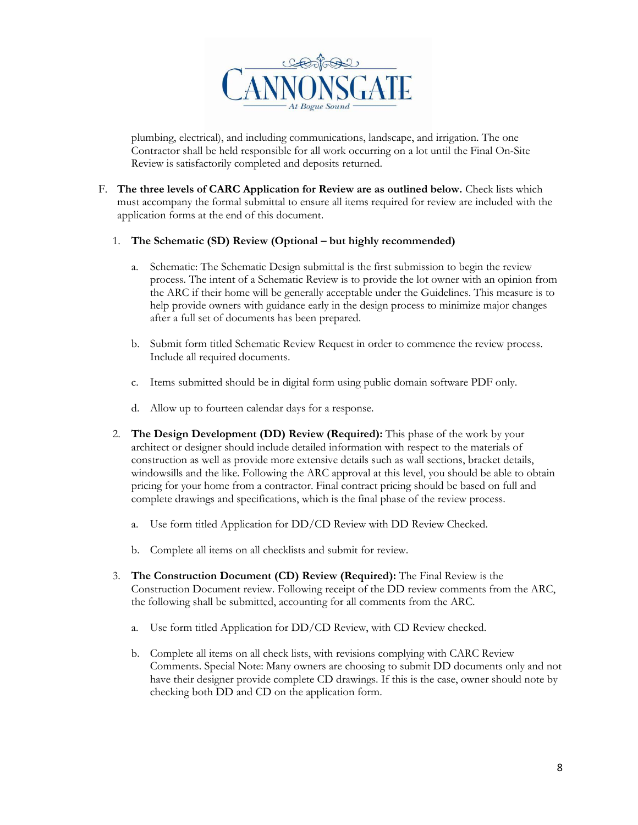

plumbing, electrical), and including communications, landscape, and irrigation. The one Contractor shall be held responsible for all work occurring on a lot until the Final On-Site Review is satisfactorily completed and deposits returned.

F. **The three levels of CARC Application for Review are as outlined below.** Check lists which must accompany the formal submittal to ensure all items required for review are included with the application forms at the end of this document.

#### 1. The Schematic (SD) Review (Optional – but highly recommended)

- a. Schematic: The Schematic Design submittal is the first submission to begin the review process. The intent of a Schematic Review is to provide the lot owner with an opinion from the ARC if their home will be generally acceptable under the Guidelines. This measure is to help provide owners with guidance early in the design process to minimize major changes after a full set of documents has been prepared.
- b. Submit form titled Schematic Review Request in order to commence the review process. Include all required documents.
- c. Items submitted should be in digital form using public domain software PDF only.
- d. Allow up to fourteen calendar days for a response.
- 2. **The Design Development (DD) Review (Required):** This phase of the work by your architect or designer should include detailed information with respect to the materials of construction as well as provide more extensive details such as wall sections, bracket details, windowsills and the like. Following the ARC approval at this level, you should be able to obtain pricing for your home from a contractor. Final contract pricing should be based on full and complete drawings and specifications, which is the final phase of the review process.
	- a. Use form titled Application for DD/CD Review with DD Review Checked.
	- b. Complete all items on all checklists and submit for review.
- 3. **The Construction Document (CD) Review (Required):** The Final Review is the Construction Document review. Following receipt of the DD review comments from the ARC, the following shall be submitted, accounting for all comments from the ARC.
	- a. Use form titled Application for DD/CD Review, with CD Review checked.
	- b. Complete all items on all check lists, with revisions complying with CARC Review Comments. Special Note: Many owners are choosing to submit DD documents only and not have their designer provide complete CD drawings. If this is the case, owner should note by checking both DD and CD on the application form.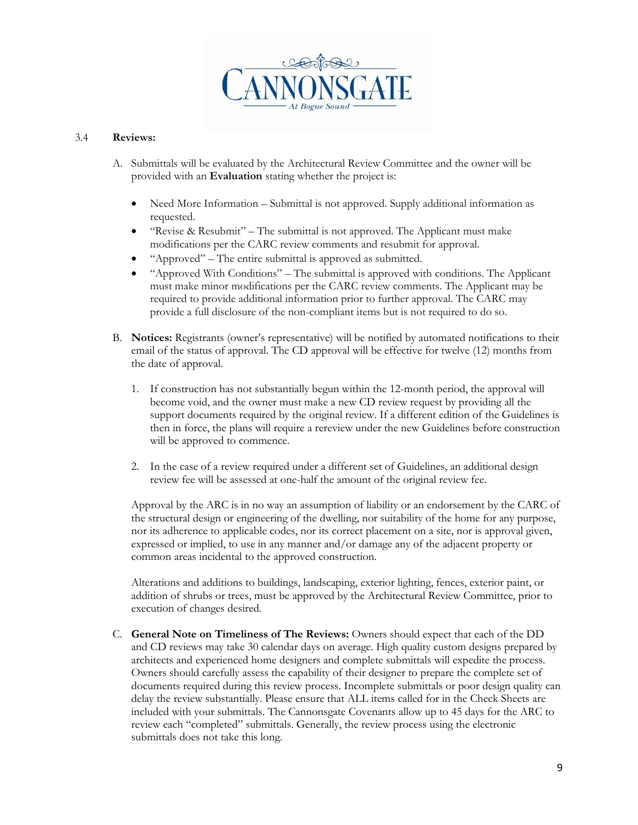

#### 3.4 **Reviews:**

- A. Submittals will be evaluated by the Architectural Review Committee and the owner will be provided with an **Evaluation** stating whether the project is:
	- Need More Information Submittal is not approved. Supply additional information as requested.
	- "Revise & Resubmit" The submittal is not approved. The Applicant must make modifications per the CARC review comments and resubmit for approval.
	- "Approved" The entire submittal is approved as submitted.
	- "Approved With Conditions" The submittal is approved with conditions. The Applicant must make minor modifications per the CARC review comments. The Applicant may be required to provide additional information prior to further approval. The CARC may provide a full disclosure of the non-compliant items but is not required to do so.
- B. **Notices:** Registrants (owner's representative) will be notified by automated notifications to their email of the status of approval. The CD approval will be effective for twelve (12) months from the date of approval.
	- 1. If construction has not substantially begun within the 12-month period, the approval will become void, and the owner must make a new CD review request by providing all the support documents required by the original review. If a different edition of the Guidelines is then in force, the plans will require a rereview under the new Guidelines before construction will be approved to commence.
	- 2. In the case of a review required under a different set of Guidelines, an additional design review fee will be assessed at one-half the amount of the original review fee.

Approval by the ARC is in no way an assumption of liability or an endorsement by the CARC of the structural design or engineering of the dwelling, nor suitability of the home for any purpose, nor its adherence to applicable codes, nor its correct placement on a site, nor is approval given, expressed or implied, to use in any manner and/or damage any of the adjacent property or common areas incidental to the approved construction.

Alterations and additions to buildings, landscaping, exterior lighting, fences, exterior paint, or addition of shrubs or trees, must be approved by the Architectural Review Committee, prior to execution of changes desired.

C. **General Note on Timeliness of The Reviews:** Owners should expect that each of the DD and CD reviews may take 30 calendar days on average. High quality custom designs prepared by architects and experienced home designers and complete submittals will expedite the process. Owners should carefully assess the capability of their designer to prepare the complete set of documents required during this review process. Incomplete submittals or poor design quality can delay the review substantially. Please ensure that ALL items called for in the Check Sheets are included with your submittals. The Cannonsgate Covenants allow up to 45 days for the ARC to review each "completed" submittals. Generally, the review process using the electronic submittals does not take this long.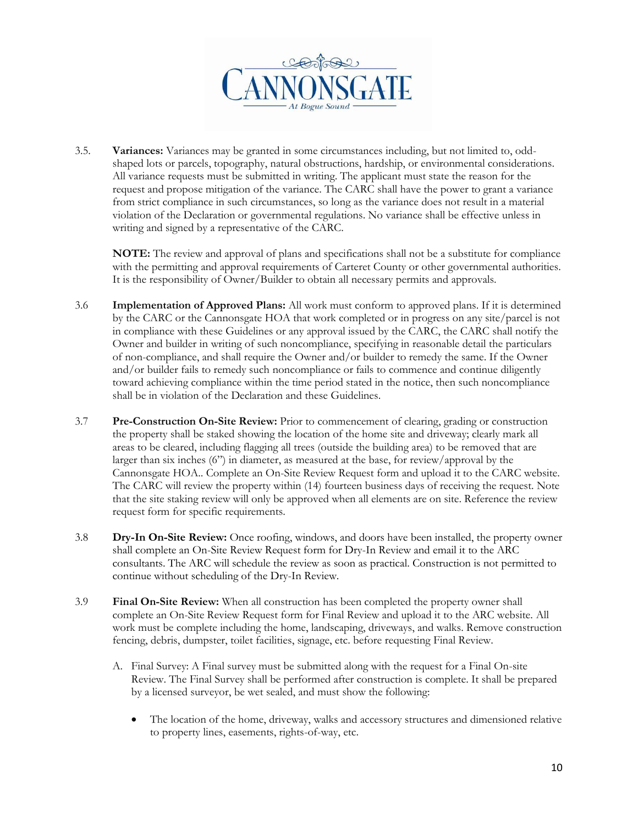

3.5. **Variances:** Variances may be granted in some circumstances including, but not limited to, oddshaped lots or parcels, topography, natural obstructions, hardship, or environmental considerations. All variance requests must be submitted in writing. The applicant must state the reason for the request and propose mitigation of the variance. The CARC shall have the power to grant a variance from strict compliance in such circumstances, so long as the variance does not result in a material violation of the Declaration or governmental regulations. No variance shall be effective unless in writing and signed by a representative of the CARC.

**NOTE:** The review and approval of plans and specifications shall not be a substitute for compliance with the permitting and approval requirements of Carteret County or other governmental authorities. It is the responsibility of Owner/Builder to obtain all necessary permits and approvals.

- 3.6 **Implementation of Approved Plans:** All work must conform to approved plans. If it is determined by the CARC or the Cannonsgate HOA that work completed or in progress on any site/parcel is not in compliance with these Guidelines or any approval issued by the CARC, the CARC shall notify the Owner and builder in writing of such noncompliance, specifying in reasonable detail the particulars of non-compliance, and shall require the Owner and/or builder to remedy the same. If the Owner and/or builder fails to remedy such noncompliance or fails to commence and continue diligently toward achieving compliance within the time period stated in the notice, then such noncompliance shall be in violation of the Declaration and these Guidelines.
- 3.7 **Pre-Construction On-Site Review:** Prior to commencement of clearing, grading or construction the property shall be staked showing the location of the home site and driveway; clearly mark all areas to be cleared, including flagging all trees (outside the building area) to be removed that are larger than six inches (6") in diameter, as measured at the base, for review/approval by the Cannonsgate HOA.. Complete an On-Site Review Request form and upload it to the CARC website. The CARC will review the property within (14) fourteen business days of receiving the request. Note that the site staking review will only be approved when all elements are on site. Reference the review request form for specific requirements.
- 3.8 **Dry-In On-Site Review:** Once roofing, windows, and doors have been installed, the property owner shall complete an On-Site Review Request form for Dry-In Review and email it to the ARC consultants. The ARC will schedule the review as soon as practical. Construction is not permitted to continue without scheduling of the Dry-In Review.
- 3.9 **Final On-Site Review:** When all construction has been completed the property owner shall complete an On-Site Review Request form for Final Review and upload it to the ARC website. All work must be complete including the home, landscaping, driveways, and walks. Remove construction fencing, debris, dumpster, toilet facilities, signage, etc. before requesting Final Review.
	- A. Final Survey: A Final survey must be submitted along with the request for a Final On-site Review. The Final Survey shall be performed after construction is complete. It shall be prepared by a licensed surveyor, be wet sealed, and must show the following:
		- The location of the home, driveway, walks and accessory structures and dimensioned relative to property lines, easements, rights-of-way, etc.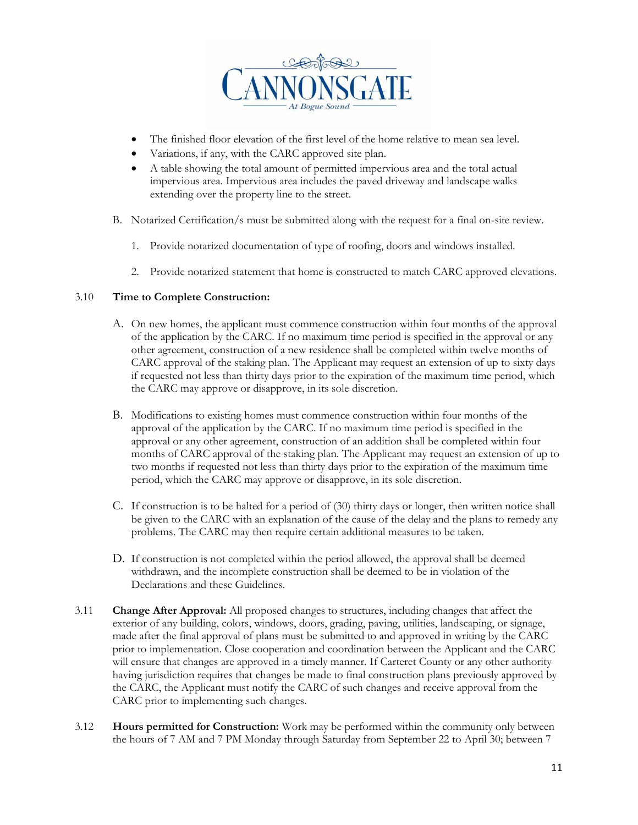

- The finished floor elevation of the first level of the home relative to mean sea level.
- Variations, if any, with the CARC approved site plan.
- A table showing the total amount of permitted impervious area and the total actual impervious area. Impervious area includes the paved driveway and landscape walks extending over the property line to the street.
- B. Notarized Certification/s must be submitted along with the request for a final on-site review.
	- 1. Provide notarized documentation of type of roofing, doors and windows installed.
	- 2. Provide notarized statement that home is constructed to match CARC approved elevations.

#### 3.10 **Time to Complete Construction:**

- A. On new homes, the applicant must commence construction within four months of the approval of the application by the CARC. If no maximum time period is specified in the approval or any other agreement, construction of a new residence shall be completed within twelve months of CARC approval of the staking plan. The Applicant may request an extension of up to sixty days if requested not less than thirty days prior to the expiration of the maximum time period, which the CARC may approve or disapprove, in its sole discretion.
- B. Modifications to existing homes must commence construction within four months of the approval of the application by the CARC. If no maximum time period is specified in the approval or any other agreement, construction of an addition shall be completed within four months of CARC approval of the staking plan. The Applicant may request an extension of up to two months if requested not less than thirty days prior to the expiration of the maximum time period, which the CARC may approve or disapprove, in its sole discretion.
- C. If construction is to be halted for a period of (30) thirty days or longer, then written notice shall be given to the CARC with an explanation of the cause of the delay and the plans to remedy any problems. The CARC may then require certain additional measures to be taken.
- D. If construction is not completed within the period allowed, the approval shall be deemed withdrawn, and the incomplete construction shall be deemed to be in violation of the Declarations and these Guidelines.
- 3.11 **Change After Approval:** All proposed changes to structures, including changes that affect the exterior of any building, colors, windows, doors, grading, paving, utilities, landscaping, or signage, made after the final approval of plans must be submitted to and approved in writing by the CARC prior to implementation. Close cooperation and coordination between the Applicant and the CARC will ensure that changes are approved in a timely manner. If Carteret County or any other authority having jurisdiction requires that changes be made to final construction plans previously approved by the CARC, the Applicant must notify the CARC of such changes and receive approval from the CARC prior to implementing such changes.
- 3.12 **Hours permitted for Construction:** Work may be performed within the community only between the hours of 7 AM and 7 PM Monday through Saturday from September 22 to April 30; between 7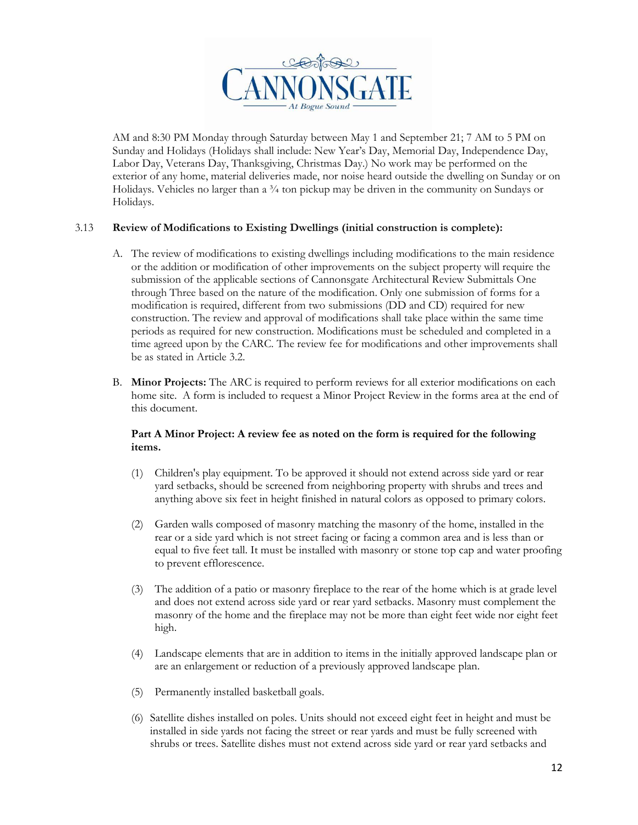

AM and 8:30 PM Monday through Saturday between May 1 and September 21; 7 AM to 5 PM on Sunday and Holidays (Holidays shall include: New Year's Day, Memorial Day, Independence Day, Labor Day, Veterans Day, Thanksgiving, Christmas Day.) No work may be performed on the exterior of any home, material deliveries made, nor noise heard outside the dwelling on Sunday or on Holidays. Vehicles no larger than a  $\frac{3}{4}$  ton pickup may be driven in the community on Sundays or Holidays.

#### 3.13 **Review of Modifications to Existing Dwellings (initial construction is complete):**

- A. The review of modifications to existing dwellings including modifications to the main residence or the addition or modification of other improvements on the subject property will require the submission of the applicable sections of Cannonsgate Architectural Review Submittals One through Three based on the nature of the modification. Only one submission of forms for a modification is required, different from two submissions (DD and CD) required for new construction. The review and approval of modifications shall take place within the same time periods as required for new construction. Modifications must be scheduled and completed in a time agreed upon by the CARC. The review fee for modifications and other improvements shall be as stated in Article 3.2.
- B. **Minor Projects:** The ARC is required to perform reviews for all exterior modifications on each home site. A form is included to request a Minor Project Review in the forms area at the end of this document.

#### **Part A Minor Project: A review fee as noted on the form is required for the following items.**

- (1) Children's play equipment. To be approved it should not extend across side yard or rear yard setbacks, should be screened from neighboring property with shrubs and trees and anything above six feet in height finished in natural colors as opposed to primary colors.
- (2) Garden walls composed of masonry matching the masonry of the home, installed in the rear or a side yard which is not street facing or facing a common area and is less than or equal to five feet tall. It must be installed with masonry or stone top cap and water proofing to prevent efflorescence.
- (3) The addition of a patio or masonry fireplace to the rear of the home which is at grade level and does not extend across side yard or rear yard setbacks. Masonry must complement the masonry of the home and the fireplace may not be more than eight feet wide nor eight feet high.
- (4) Landscape elements that are in addition to items in the initially approved landscape plan or are an enlargement or reduction of a previously approved landscape plan.
- (5) Permanently installed basketball goals.
- (6) Satellite dishes installed on poles. Units should not exceed eight feet in height and must be installed in side yards not facing the street or rear yards and must be fully screened with shrubs or trees. Satellite dishes must not extend across side yard or rear yard setbacks and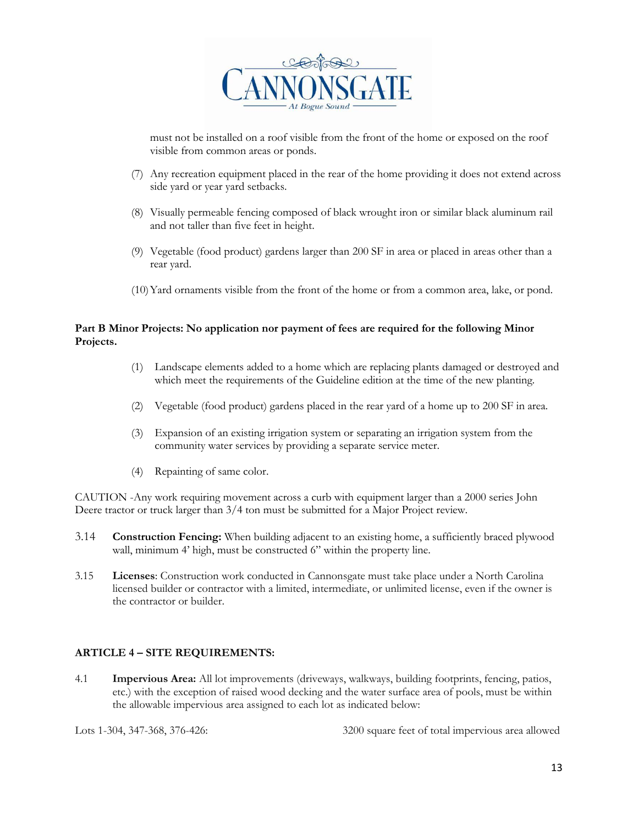

must not be installed on a roof visible from the front of the home or exposed on the roof visible from common areas or ponds.

- (7) Any recreation equipment placed in the rear of the home providing it does not extend across side yard or year yard setbacks.
- (8) Visually permeable fencing composed of black wrought iron or similar black aluminum rail and not taller than five feet in height.
- (9) Vegetable (food product) gardens larger than 200 SF in area or placed in areas other than a rear yard.
- (10)Yard ornaments visible from the front of the home or from a common area, lake, or pond.

#### **Part B Minor Projects: No application nor payment of fees are required for the following Minor Projects.**

- (1) Landscape elements added to a home which are replacing plants damaged or destroyed and which meet the requirements of the Guideline edition at the time of the new planting.
- (2) Vegetable (food product) gardens placed in the rear yard of a home up to 200 SF in area.
- (3) Expansion of an existing irrigation system or separating an irrigation system from the community water services by providing a separate service meter.
- (4) Repainting of same color.

CAUTION -Any work requiring movement across a curb with equipment larger than a 2000 series John Deere tractor or truck larger than 3/4 ton must be submitted for a Major Project review.

- 3.14 **Construction Fencing:** When building adjacent to an existing home, a sufficiently braced plywood wall, minimum 4' high, must be constructed 6" within the property line.
- 3.15 **Licenses**: Construction work conducted in Cannonsgate must take place under a North Carolina licensed builder or contractor with a limited, intermediate, or unlimited license, even if the owner is the contractor or builder.

#### **ARTICLE 4 – SITE REQUIREMENTS:**

4.1 **Impervious Area:** All lot improvements (driveways, walkways, building footprints, fencing, patios, etc.) with the exception of raised wood decking and the water surface area of pools, must be within the allowable impervious area assigned to each lot as indicated below:

Lots 1-304, 347-368, 376-426: 3200 square feet of total impervious area allowed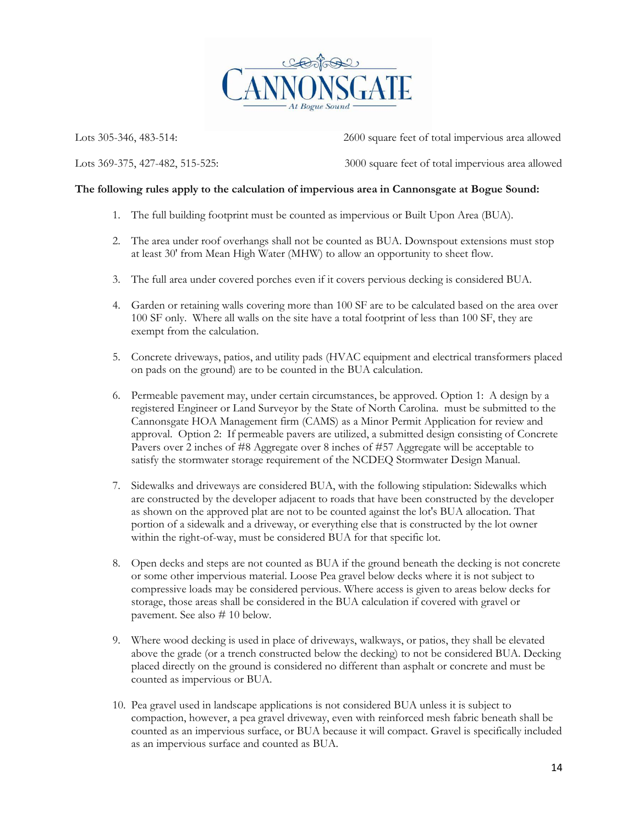

Lots 305-346, 483-514: 2600 square feet of total impervious area allowed

Lots 369-375, 427-482, 515-525: 3000 square feet of total impervious area allowed

#### **The following rules apply to the calculation of impervious area in Cannonsgate at Bogue Sound:**

- 1. The full building footprint must be counted as impervious or Built Upon Area (BUA).
- 2. The area under roof overhangs shall not be counted as BUA. Downspout extensions must stop at least 30' from Mean High Water (MHW) to allow an opportunity to sheet flow.
- 3. The full area under covered porches even if it covers pervious decking is considered BUA.
- 4. Garden or retaining walls covering more than 100 SF are to be calculated based on the area over 100 SF only. Where all walls on the site have a total footprint of less than 100 SF, they are exempt from the calculation.
- 5. Concrete driveways, patios, and utility pads (HVAC equipment and electrical transformers placed on pads on the ground) are to be counted in the BUA calculation.
- 6. Permeable pavement may, under certain circumstances, be approved. Option 1: A design by a registered Engineer or Land Surveyor by the State of North Carolina. must be submitted to the Cannonsgate HOA Management firm (CAMS) as a Minor Permit Application for review and approval. Option 2: If permeable pavers are utilized, a submitted design consisting of Concrete Pavers over 2 inches of #8 Aggregate over 8 inches of #57 Aggregate will be acceptable to satisfy the stormwater storage requirement of the NCDEQ Stormwater Design Manual.
- 7. Sidewalks and driveways are considered BUA, with the following stipulation: Sidewalks which are constructed by the developer adjacent to roads that have been constructed by the developer as shown on the approved plat are not to be counted against the lot's BUA allocation. That portion of a sidewalk and a driveway, or everything else that is constructed by the lot owner within the right-of-way, must be considered BUA for that specific lot.
- 8. Open decks and steps are not counted as BUA if the ground beneath the decking is not concrete or some other impervious material. Loose Pea gravel below decks where it is not subject to compressive loads may be considered pervious. Where access is given to areas below decks for storage, those areas shall be considered in the BUA calculation if covered with gravel or pavement. See also # 10 below.
- 9. Where wood decking is used in place of driveways, walkways, or patios, they shall be elevated above the grade (or a trench constructed below the decking) to not be considered BUA. Decking placed directly on the ground is considered no different than asphalt or concrete and must be counted as impervious or BUA.
- 10. Pea gravel used in landscape applications is not considered BUA unless it is subject to compaction, however, a pea gravel driveway, even with reinforced mesh fabric beneath shall be counted as an impervious surface, or BUA because it will compact. Gravel is specifically included as an impervious surface and counted as BUA.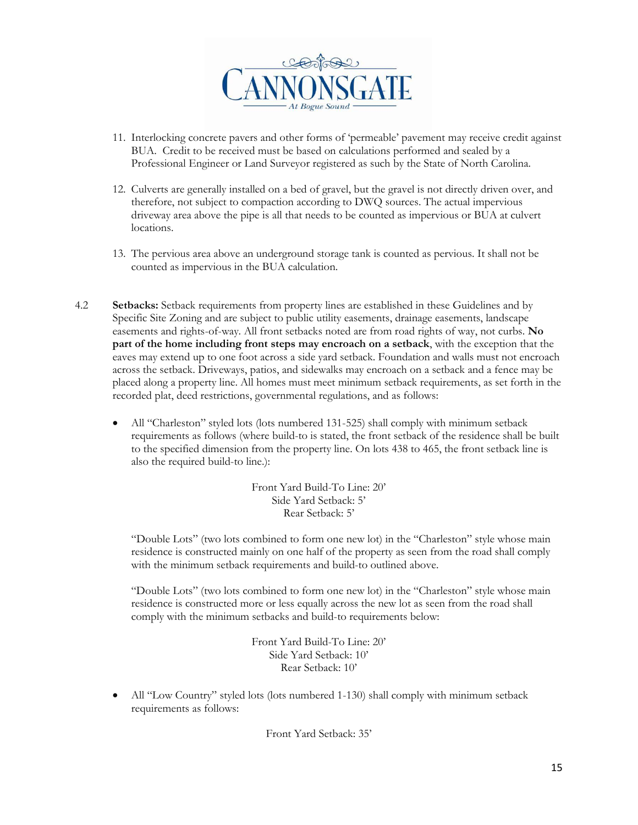

- 11. Interlocking concrete pavers and other forms of 'permeable' pavement may receive credit against BUA. Credit to be received must be based on calculations performed and sealed by a Professional Engineer or Land Surveyor registered as such by the State of North Carolina.
- 12. Culverts are generally installed on a bed of gravel, but the gravel is not directly driven over, and therefore, not subject to compaction according to DWQ sources. The actual impervious driveway area above the pipe is all that needs to be counted as impervious or BUA at culvert locations.
- 13. The pervious area above an underground storage tank is counted as pervious. It shall not be counted as impervious in the BUA calculation.
- 4.2 **Setbacks:** Setback requirements from property lines are established in these Guidelines and by Specific Site Zoning and are subject to public utility easements, drainage easements, landscape easements and rights-of-way. All front setbacks noted are from road rights of way, not curbs. **No part of the home including front steps may encroach on a setback**, with the exception that the eaves may extend up to one foot across a side yard setback. Foundation and walls must not encroach across the setback. Driveways, patios, and sidewalks may encroach on a setback and a fence may be placed along a property line. All homes must meet minimum setback requirements, as set forth in the recorded plat, deed restrictions, governmental regulations, and as follows:
	- All "Charleston" styled lots (lots numbered 131-525) shall comply with minimum setback requirements as follows (where build-to is stated, the front setback of the residence shall be built to the specified dimension from the property line. On lots 438 to 465, the front setback line is also the required build-to line.):

Front Yard Build-To Line: 20' Side Yard Setback: 5' Rear Setback: 5'

"Double Lots" (two lots combined to form one new lot) in the "Charleston" style whose main residence is constructed mainly on one half of the property as seen from the road shall comply with the minimum setback requirements and build-to outlined above.

"Double Lots" (two lots combined to form one new lot) in the "Charleston" style whose main residence is constructed more or less equally across the new lot as seen from the road shall comply with the minimum setbacks and build-to requirements below:

> Front Yard Build-To Line: 20' Side Yard Setback: 10' Rear Setback: 10'

• All "Low Country" styled lots (lots numbered 1-130) shall comply with minimum setback requirements as follows:

Front Yard Setback: 35'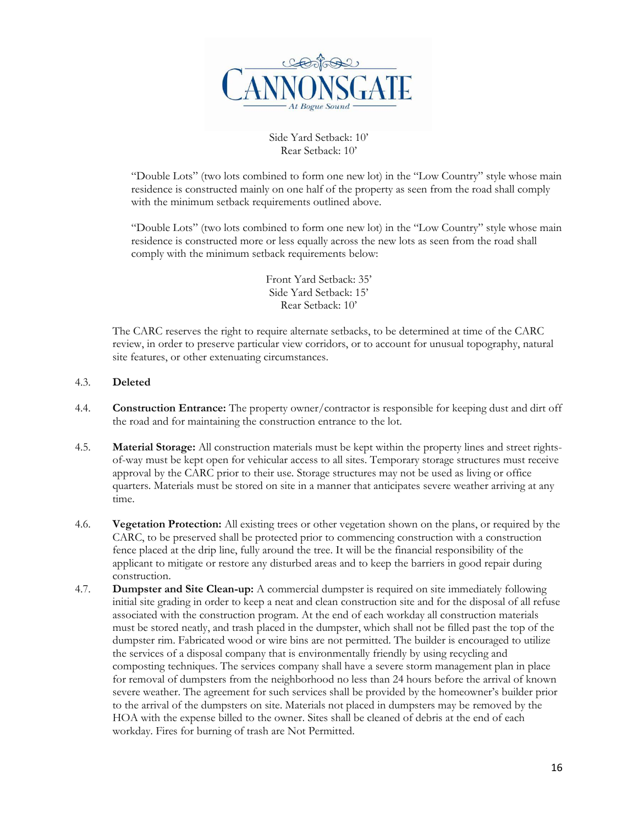

Side Yard Setback: 10' Rear Setback: 10'

"Double Lots" (two lots combined to form one new lot) in the "Low Country" style whose main residence is constructed mainly on one half of the property as seen from the road shall comply with the minimum setback requirements outlined above.

"Double Lots" (two lots combined to form one new lot) in the "Low Country" style whose main residence is constructed more or less equally across the new lots as seen from the road shall comply with the minimum setback requirements below:

> Front Yard Setback: 35' Side Yard Setback: 15' Rear Setback: 10'

The CARC reserves the right to require alternate setbacks, to be determined at time of the CARC review, in order to preserve particular view corridors, or to account for unusual topography, natural site features, or other extenuating circumstances.

#### 4.3. **Deleted**

- 4.4. **Construction Entrance:** The property owner/contractor is responsible for keeping dust and dirt off the road and for maintaining the construction entrance to the lot.
- 4.5. **Material Storage:** All construction materials must be kept within the property lines and street rightsof-way must be kept open for vehicular access to all sites. Temporary storage structures must receive approval by the CARC prior to their use. Storage structures may not be used as living or office quarters. Materials must be stored on site in a manner that anticipates severe weather arriving at any time.
- 4.6. **Vegetation Protection:** All existing trees or other vegetation shown on the plans, or required by the CARC, to be preserved shall be protected prior to commencing construction with a construction fence placed at the drip line, fully around the tree. It will be the financial responsibility of the applicant to mitigate or restore any disturbed areas and to keep the barriers in good repair during construction.
- 4.7. **Dumpster and Site Clean-up:** A commercial dumpster is required on site immediately following initial site grading in order to keep a neat and clean construction site and for the disposal of all refuse associated with the construction program. At the end of each workday all construction materials must be stored neatly, and trash placed in the dumpster, which shall not be filled past the top of the dumpster rim. Fabricated wood or wire bins are not permitted. The builder is encouraged to utilize the services of a disposal company that is environmentally friendly by using recycling and composting techniques. The services company shall have a severe storm management plan in place for removal of dumpsters from the neighborhood no less than 24 hours before the arrival of known severe weather. The agreement for such services shall be provided by the homeowner's builder prior to the arrival of the dumpsters on site. Materials not placed in dumpsters may be removed by the HOA with the expense billed to the owner. Sites shall be cleaned of debris at the end of each workday. Fires for burning of trash are Not Permitted.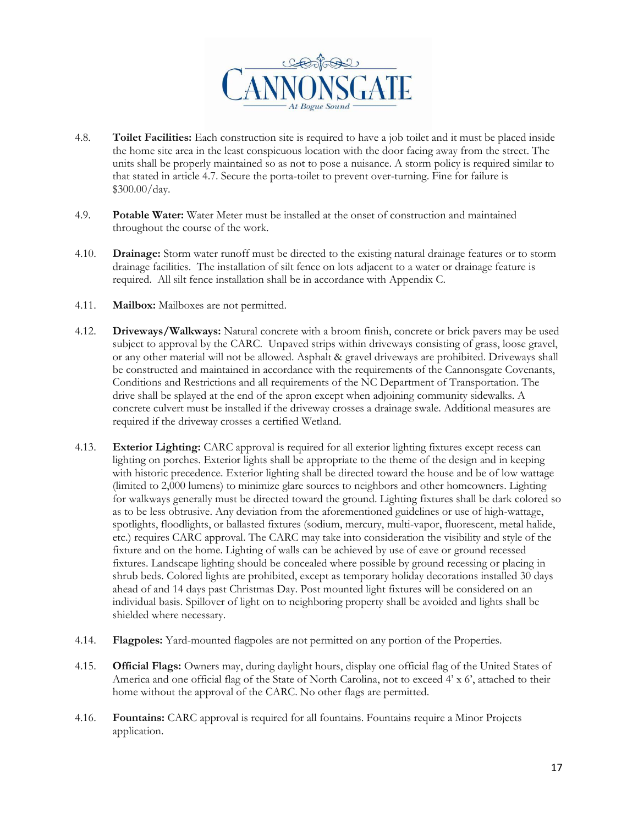

- 4.8. **Toilet Facilities:** Each construction site is required to have a job toilet and it must be placed inside the home site area in the least conspicuous location with the door facing away from the street. The units shall be properly maintained so as not to pose a nuisance. A storm policy is required similar to that stated in article 4.7. Secure the porta-toilet to prevent over-turning. Fine for failure is \$300.00/day.
- 4.9. **Potable Water:** Water Meter must be installed at the onset of construction and maintained throughout the course of the work.
- 4.10. **Drainage:** Storm water runoff must be directed to the existing natural drainage features or to storm drainage facilities. The installation of silt fence on lots adjacent to a water or drainage feature is required. All silt fence installation shall be in accordance with Appendix C.
- 4.11. **Mailbox:** Mailboxes are not permitted.
- 4.12. **Driveways/Walkways:** Natural concrete with a broom finish, concrete or brick pavers may be used subject to approval by the CARC. Unpaved strips within driveways consisting of grass, loose gravel, or any other material will not be allowed. Asphalt & gravel driveways are prohibited. Driveways shall be constructed and maintained in accordance with the requirements of the Cannonsgate Covenants, Conditions and Restrictions and all requirements of the NC Department of Transportation. The drive shall be splayed at the end of the apron except when adjoining community sidewalks. A concrete culvert must be installed if the driveway crosses a drainage swale. Additional measures are required if the driveway crosses a certified Wetland.
- 4.13. **Exterior Lighting:** CARC approval is required for all exterior lighting fixtures except recess can lighting on porches. Exterior lights shall be appropriate to the theme of the design and in keeping with historic precedence. Exterior lighting shall be directed toward the house and be of low wattage (limited to 2,000 lumens) to minimize glare sources to neighbors and other homeowners. Lighting for walkways generally must be directed toward the ground. Lighting fixtures shall be dark colored so as to be less obtrusive. Any deviation from the aforementioned guidelines or use of high-wattage, spotlights, floodlights, or ballasted fixtures (sodium, mercury, multi-vapor, fluorescent, metal halide, etc.) requires CARC approval. The CARC may take into consideration the visibility and style of the fixture and on the home. Lighting of walls can be achieved by use of eave or ground recessed fixtures. Landscape lighting should be concealed where possible by ground recessing or placing in shrub beds. Colored lights are prohibited, except as temporary holiday decorations installed 30 days ahead of and 14 days past Christmas Day. Post mounted light fixtures will be considered on an individual basis. Spillover of light on to neighboring property shall be avoided and lights shall be shielded where necessary.
- 4.14. **Flagpoles:** Yard-mounted flagpoles are not permitted on any portion of the Properties.
- 4.15. **Official Flags:** Owners may, during daylight hours, display one official flag of the United States of America and one official flag of the State of North Carolina, not to exceed 4' x 6', attached to their home without the approval of the CARC. No other flags are permitted.
- 4.16. **Fountains:** CARC approval is required for all fountains. Fountains require a Minor Projects application.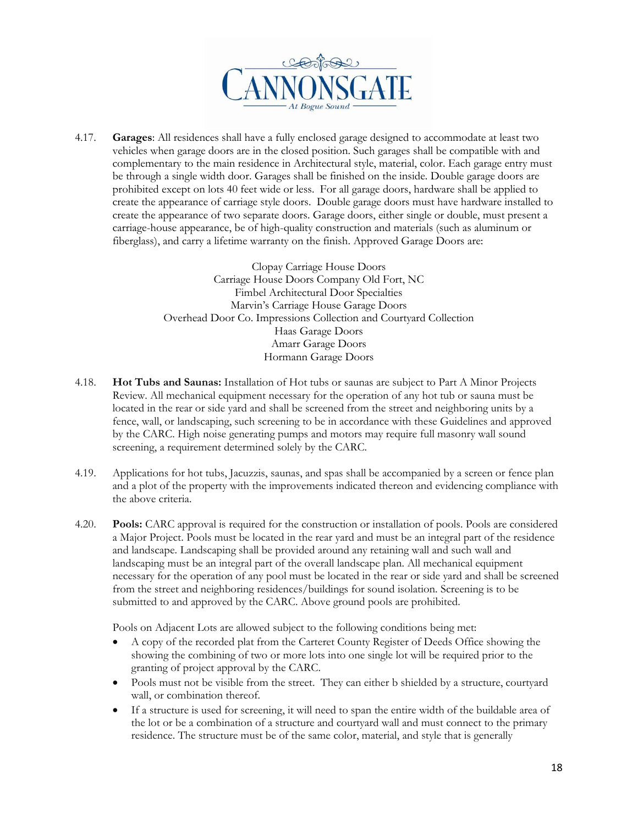

4.17. **Garages**: All residences shall have a fully enclosed garage designed to accommodate at least two vehicles when garage doors are in the closed position. Such garages shall be compatible with and complementary to the main residence in Architectural style, material, color. Each garage entry must be through a single width door. Garages shall be finished on the inside. Double garage doors are prohibited except on lots 40 feet wide or less. For all garage doors, hardware shall be applied to create the appearance of carriage style doors. Double garage doors must have hardware installed to create the appearance of two separate doors. Garage doors, either single or double, must present a carriage-house appearance, be of high-quality construction and materials (such as aluminum or fiberglass), and carry a lifetime warranty on the finish. Approved Garage Doors are:

> Clopay Carriage House Doors Carriage House Doors Company Old Fort, NC Fimbel Architectural Door Specialties Marvin's Carriage House Garage Doors Overhead Door Co. Impressions Collection and Courtyard Collection Haas Garage Doors Amarr Garage Doors Hormann Garage Doors

- 4.18. **Hot Tubs and Saunas:** Installation of Hot tubs or saunas are subject to Part A Minor Projects Review. All mechanical equipment necessary for the operation of any hot tub or sauna must be located in the rear or side yard and shall be screened from the street and neighboring units by a fence, wall, or landscaping, such screening to be in accordance with these Guidelines and approved by the CARC. High noise generating pumps and motors may require full masonry wall sound screening, a requirement determined solely by the CARC.
- 4.19. Applications for hot tubs, Jacuzzis, saunas, and spas shall be accompanied by a screen or fence plan and a plot of the property with the improvements indicated thereon and evidencing compliance with the above criteria.
- 4.20. **Pools:** CARC approval is required for the construction or installation of pools. Pools are considered a Major Project. Pools must be located in the rear yard and must be an integral part of the residence and landscape. Landscaping shall be provided around any retaining wall and such wall and landscaping must be an integral part of the overall landscape plan. All mechanical equipment necessary for the operation of any pool must be located in the rear or side yard and shall be screened from the street and neighboring residences/buildings for sound isolation. Screening is to be submitted to and approved by the CARC. Above ground pools are prohibited.

Pools on Adjacent Lots are allowed subject to the following conditions being met:

- A copy of the recorded plat from the Carteret County Register of Deeds Office showing the showing the combining of two or more lots into one single lot will be required prior to the granting of project approval by the CARC.
- Pools must not be visible from the street. They can either b shielded by a structure, courtyard wall, or combination thereof.
- If a structure is used for screening, it will need to span the entire width of the buildable area of the lot or be a combination of a structure and courtyard wall and must connect to the primary residence. The structure must be of the same color, material, and style that is generally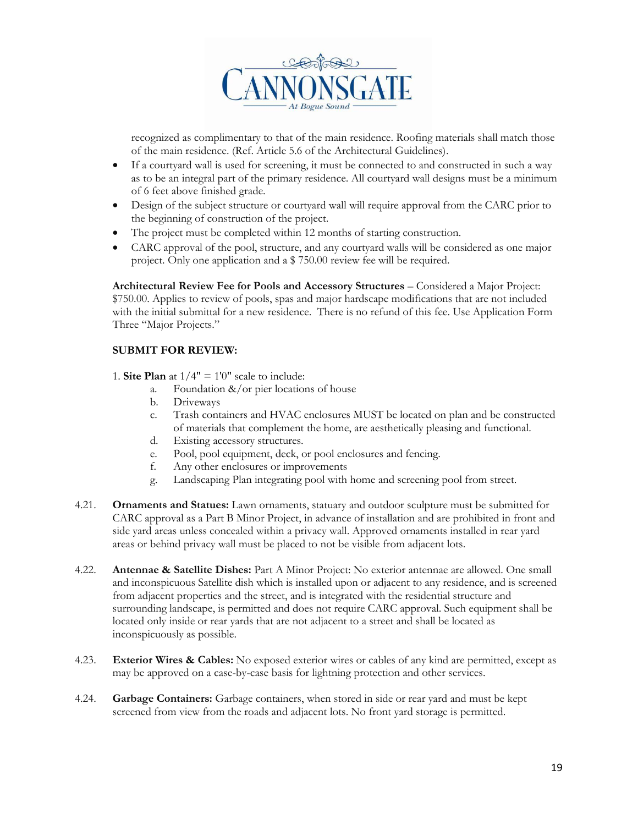

recognized as complimentary to that of the main residence. Roofing materials shall match those of the main residence. (Ref. Article 5.6 of the Architectural Guidelines).

- If a courtyard wall is used for screening, it must be connected to and constructed in such a way as to be an integral part of the primary residence. All courtyard wall designs must be a minimum of 6 feet above finished grade.
- Design of the subject structure or courtyard wall will require approval from the CARC prior to the beginning of construction of the project.
- The project must be completed within 12 months of starting construction.
- CARC approval of the pool, structure, and any courtyard walls will be considered as one major project. Only one application and a \$ 750.00 review fee will be required.

**Architectural Review Fee for Pools and Accessory Structures** – Considered a Major Project: \$750.00. Applies to review of pools, spas and major hardscape modifications that are not included with the initial submittal for a new residence. There is no refund of this fee. Use Application Form Three "Major Projects."

#### **SUBMIT FOR REVIEW:**

- 1. **Site Plan** at  $1/4" = 1'0"$  scale to include:
	- a. Foundation  $\&$ /or pier locations of house
	- b. Driveways
	- c. Trash containers and HVAC enclosures MUST be located on plan and be constructed of materials that complement the home, are aesthetically pleasing and functional.
	- d. Existing accessory structures.
	- e. Pool, pool equipment, deck, or pool enclosures and fencing.
	- f. Any other enclosures or improvements
	- g. Landscaping Plan integrating pool with home and screening pool from street.
- 4.21. **Ornaments and Statues:** Lawn ornaments, statuary and outdoor sculpture must be submitted for CARC approval as a Part B Minor Project, in advance of installation and are prohibited in front and side yard areas unless concealed within a privacy wall. Approved ornaments installed in rear yard areas or behind privacy wall must be placed to not be visible from adjacent lots.
- 4.22. **Antennae & Satellite Dishes:** Part A Minor Project: No exterior antennae are allowed. One small and inconspicuous Satellite dish which is installed upon or adjacent to any residence, and is screened from adjacent properties and the street, and is integrated with the residential structure and surrounding landscape, is permitted and does not require CARC approval. Such equipment shall be located only inside or rear yards that are not adjacent to a street and shall be located as inconspicuously as possible.
- 4.23. **Exterior Wires & Cables:** No exposed exterior wires or cables of any kind are permitted, except as may be approved on a case-by-case basis for lightning protection and other services.
- 4.24. **Garbage Containers:** Garbage containers, when stored in side or rear yard and must be kept screened from view from the roads and adjacent lots. No front yard storage is permitted.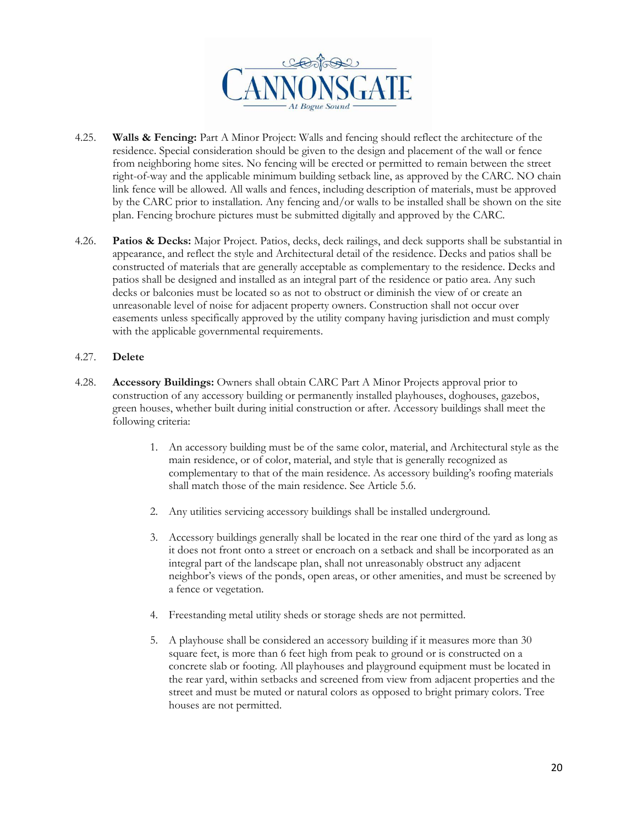

- 4.25. **Walls & Fencing:** Part A Minor Project: Walls and fencing should reflect the architecture of the residence. Special consideration should be given to the design and placement of the wall or fence from neighboring home sites. No fencing will be erected or permitted to remain between the street right-of-way and the applicable minimum building setback line, as approved by the CARC. NO chain link fence will be allowed. All walls and fences, including description of materials, must be approved by the CARC prior to installation. Any fencing and/or walls to be installed shall be shown on the site plan. Fencing brochure pictures must be submitted digitally and approved by the CARC.
- 4.26. **Patios & Decks:** Major Project. Patios, decks, deck railings, and deck supports shall be substantial in appearance, and reflect the style and Architectural detail of the residence. Decks and patios shall be constructed of materials that are generally acceptable as complementary to the residence. Decks and patios shall be designed and installed as an integral part of the residence or patio area. Any such decks or balconies must be located so as not to obstruct or diminish the view of or create an unreasonable level of noise for adjacent property owners. Construction shall not occur over easements unless specifically approved by the utility company having jurisdiction and must comply with the applicable governmental requirements.

#### 4.27. **Delete**

- 4.28. **Accessory Buildings:** Owners shall obtain CARC Part A Minor Projects approval prior to construction of any accessory building or permanently installed playhouses, doghouses, gazebos, green houses, whether built during initial construction or after. Accessory buildings shall meet the following criteria:
	- 1. An accessory building must be of the same color, material, and Architectural style as the main residence, or of color, material, and style that is generally recognized as complementary to that of the main residence. As accessory building's roofing materials shall match those of the main residence. See Article 5.6.
	- 2. Any utilities servicing accessory buildings shall be installed underground.
	- 3. Accessory buildings generally shall be located in the rear one third of the yard as long as it does not front onto a street or encroach on a setback and shall be incorporated as an integral part of the landscape plan, shall not unreasonably obstruct any adjacent neighbor's views of the ponds, open areas, or other amenities, and must be screened by a fence or vegetation.
	- 4. Freestanding metal utility sheds or storage sheds are not permitted.
	- 5. A playhouse shall be considered an accessory building if it measures more than 30 square feet, is more than 6 feet high from peak to ground or is constructed on a concrete slab or footing. All playhouses and playground equipment must be located in the rear yard, within setbacks and screened from view from adjacent properties and the street and must be muted or natural colors as opposed to bright primary colors. Tree houses are not permitted.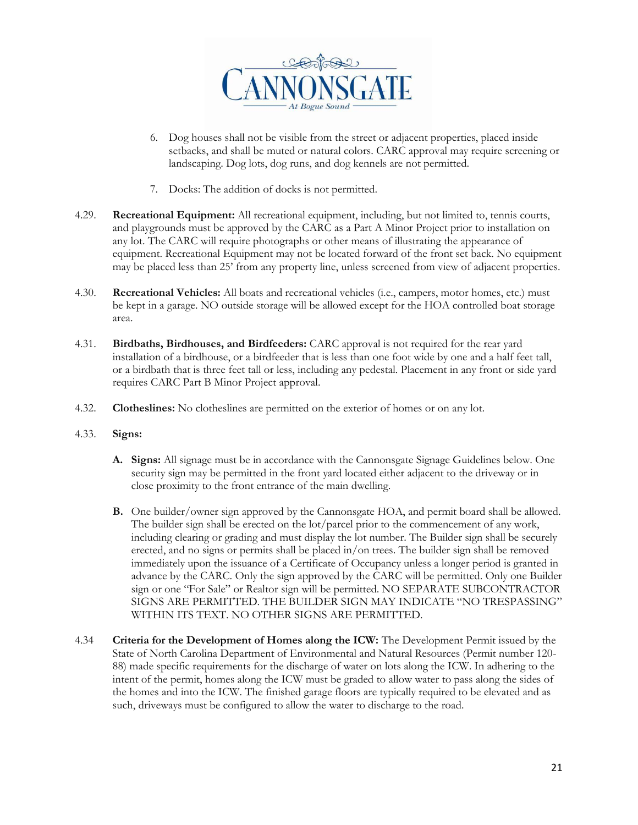

- 6. Dog houses shall not be visible from the street or adjacent properties, placed inside setbacks, and shall be muted or natural colors. CARC approval may require screening or landscaping. Dog lots, dog runs, and dog kennels are not permitted.
- 7. Docks: The addition of docks is not permitted.
- 4.29. **Recreational Equipment:** All recreational equipment, including, but not limited to, tennis courts, and playgrounds must be approved by the CARC as a Part A Minor Project prior to installation on any lot. The CARC will require photographs or other means of illustrating the appearance of equipment. Recreational Equipment may not be located forward of the front set back. No equipment may be placed less than 25' from any property line, unless screened from view of adjacent properties.
- 4.30. **Recreational Vehicles:** All boats and recreational vehicles (i.e., campers, motor homes, etc.) must be kept in a garage. NO outside storage will be allowed except for the HOA controlled boat storage area.
- 4.31. **Birdbaths, Birdhouses, and Birdfeeders:** CARC approval is not required for the rear yard installation of a birdhouse, or a birdfeeder that is less than one foot wide by one and a half feet tall, or a birdbath that is three feet tall or less, including any pedestal. Placement in any front or side yard requires CARC Part B Minor Project approval.
- 4.32. **Clotheslines:** No clotheslines are permitted on the exterior of homes or on any lot.
- 4.33. **Signs:**
	- **A. Signs:** All signage must be in accordance with the Cannonsgate Signage Guidelines below. One security sign may be permitted in the front yard located either adjacent to the driveway or in close proximity to the front entrance of the main dwelling.
	- **B.** One builder/owner sign approved by the Cannonsgate HOA, and permit board shall be allowed. The builder sign shall be erected on the lot/parcel prior to the commencement of any work, including clearing or grading and must display the lot number. The Builder sign shall be securely erected, and no signs or permits shall be placed in/on trees. The builder sign shall be removed immediately upon the issuance of a Certificate of Occupancy unless a longer period is granted in advance by the CARC. Only the sign approved by the CARC will be permitted. Only one Builder sign or one "For Sale" or Realtor sign will be permitted. NO SEPARATE SUBCONTRACTOR SIGNS ARE PERMITTED. THE BUILDER SIGN MAY INDICATE "NO TRESPASSING" WITHIN ITS TEXT. NO OTHER SIGNS ARE PERMITTED.
- 4.34 **Criteria for the Development of Homes along the ICW:** The Development Permit issued by the State of North Carolina Department of Environmental and Natural Resources (Permit number 120- 88) made specific requirements for the discharge of water on lots along the ICW. In adhering to the intent of the permit, homes along the ICW must be graded to allow water to pass along the sides of the homes and into the ICW. The finished garage floors are typically required to be elevated and as such, driveways must be configured to allow the water to discharge to the road.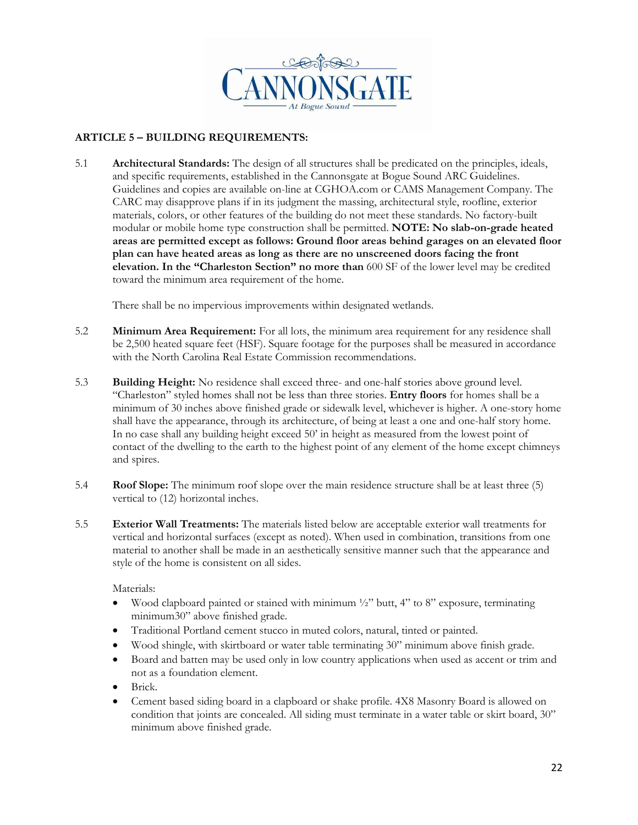

#### **ARTICLE 5 – BUILDING REQUIREMENTS:**

5.1 **Architectural Standards:** The design of all structures shall be predicated on the principles, ideals, and specific requirements, established in the Cannonsgate at Bogue Sound ARC Guidelines. Guidelines and copies are available on-line at CGHOA.com or CAMS Management Company. The CARC may disapprove plans if in its judgment the massing, architectural style, roofline, exterior materials, colors, or other features of the building do not meet these standards. No factory-built modular or mobile home type construction shall be permitted. **NOTE: No slab-on-grade heated areas are permitted except as follows: Ground floor areas behind garages on an elevated floor plan can have heated areas as long as there are no unscreened doors facing the front elevation. In the "Charleston Section" no more than** 600 SF of the lower level may be credited toward the minimum area requirement of the home.

There shall be no impervious improvements within designated wetlands.

- 5.2 **Minimum Area Requirement:** For all lots, the minimum area requirement for any residence shall be 2,500 heated square feet (HSF). Square footage for the purposes shall be measured in accordance with the North Carolina Real Estate Commission recommendations.
- 5.3 **Building Height:** No residence shall exceed three- and one-half stories above ground level. "Charleston" styled homes shall not be less than three stories. **Entry floors** for homes shall be a minimum of 30 inches above finished grade or sidewalk level, whichever is higher. A one-story home shall have the appearance, through its architecture, of being at least a one and one-half story home. In no case shall any building height exceed 50' in height as measured from the lowest point of contact of the dwelling to the earth to the highest point of any element of the home except chimneys and spires.
- 5.4 **Roof Slope:** The minimum roof slope over the main residence structure shall be at least three (5) vertical to (12) horizontal inches.
- 5.5 **Exterior Wall Treatments:** The materials listed below are acceptable exterior wall treatments for vertical and horizontal surfaces (except as noted). When used in combination, transitions from one material to another shall be made in an aesthetically sensitive manner such that the appearance and style of the home is consistent on all sides.

Materials:

- Wood clapboard painted or stained with minimum  $\frac{1}{2}$ " butt, 4" to 8" exposure, terminating minimum30" above finished grade.
- Traditional Portland cement stucco in muted colors, natural, tinted or painted.
- Wood shingle, with skirtboard or water table terminating 30" minimum above finish grade.
- Board and batten may be used only in low country applications when used as accent or trim and not as a foundation element.
- Brick.
- Cement based siding board in a clapboard or shake profile. 4X8 Masonry Board is allowed on condition that joints are concealed. All siding must terminate in a water table or skirt board, 30" minimum above finished grade.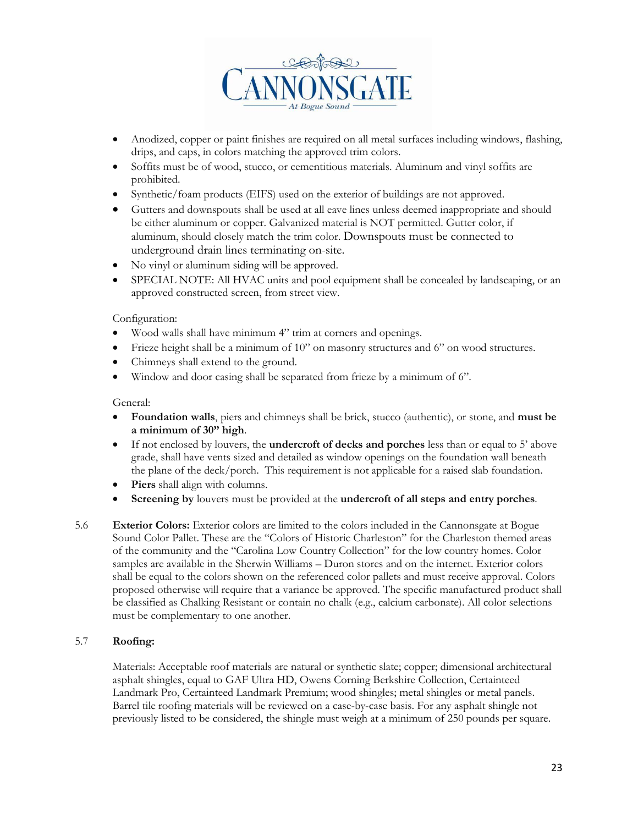

- Anodized, copper or paint finishes are required on all metal surfaces including windows, flashing, drips, and caps, in colors matching the approved trim colors.
- Soffits must be of wood, stucco, or cementitious materials. Aluminum and vinyl soffits are prohibited.
- Synthetic/foam products (EIFS) used on the exterior of buildings are not approved.
- Gutters and downspouts shall be used at all eave lines unless deemed inappropriate and should be either aluminum or copper. Galvanized material is NOT permitted. Gutter color, if aluminum, should closely match the trim color. Downspouts must be connected to underground drain lines terminating on-site.
- No vinyl or aluminum siding will be approved.
- SPECIAL NOTE: All HVAC units and pool equipment shall be concealed by landscaping, or an approved constructed screen, from street view.

#### Configuration:

- Wood walls shall have minimum 4" trim at corners and openings.
- Frieze height shall be a minimum of  $10$ " on masonry structures and  $6$ " on wood structures.
- Chimneys shall extend to the ground.
- Window and door casing shall be separated from frieze by a minimum of 6".

#### General:

- **Foundation walls**, piers and chimneys shall be brick, stucco (authentic), or stone, and **must be a minimum of 30" high**.
- If not enclosed by louvers, the **undercroft of decks and porches** less than or equal to 5' above grade, shall have vents sized and detailed as window openings on the foundation wall beneath the plane of the deck/porch. This requirement is not applicable for a raised slab foundation.
- Piers shall align with columns.
- **Screening by** louvers must be provided at the **undercroft of all steps and entry porches***.*
- 5.6 **Exterior Colors:** Exterior colors are limited to the colors included in the Cannonsgate at Bogue Sound Color Pallet. These are the "Colors of Historic Charleston" for the Charleston themed areas of the community and the "Carolina Low Country Collection" for the low country homes. Color samples are available in the Sherwin Williams – Duron stores and on the internet. Exterior colors shall be equal to the colors shown on the referenced color pallets and must receive approval. Colors proposed otherwise will require that a variance be approved. The specific manufactured product shall be classified as Chalking Resistant or contain no chalk (e.g., calcium carbonate). All color selections must be complementary to one another.

#### 5.7 **Roofing:**

Materials: Acceptable roof materials are natural or synthetic slate; copper; dimensional architectural asphalt shingles, equal to GAF Ultra HD, Owens Corning Berkshire Collection, Certainteed Landmark Pro, Certainteed Landmark Premium; wood shingles; metal shingles or metal panels. Barrel tile roofing materials will be reviewed on a case-by-case basis. For any asphalt shingle not previously listed to be considered, the shingle must weigh at a minimum of 250 pounds per square.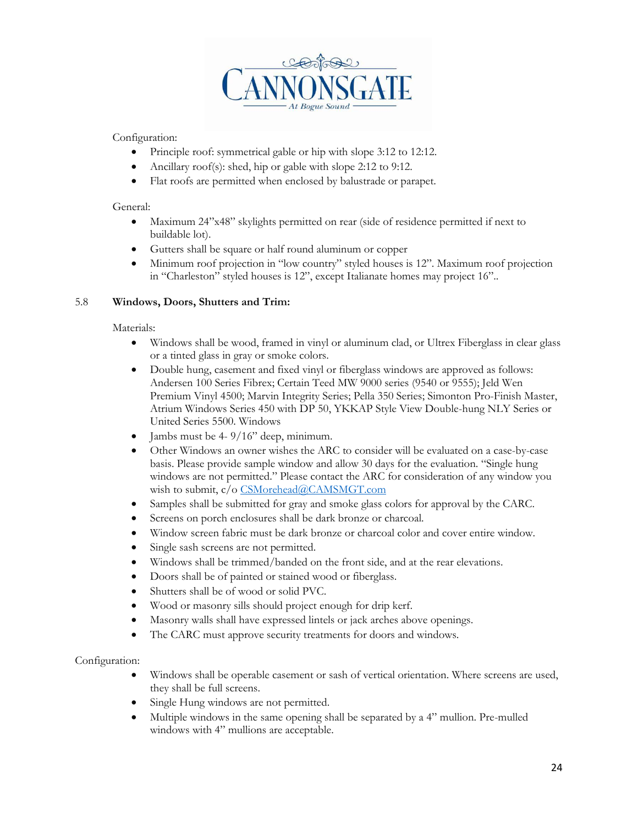

Configuration:

- Principle roof: symmetrical gable or hip with slope 3:12 to 12:12.
- Ancillary roof(s): shed, hip or gable with slope 2:12 to 9:12.
- Flat roofs are permitted when enclosed by balustrade or parapet.

#### General:

- Maximum 24"x48" skylights permitted on rear (side of residence permitted if next to buildable lot).
- Gutters shall be square or half round aluminum or copper
- Minimum roof projection in "low country" styled houses is 12". Maximum roof projection in "Charleston" styled houses is 12", except Italianate homes may project 16"..

#### 5.8 **Windows, Doors, Shutters and Trim:**

#### Materials:

- Windows shall be wood, framed in vinyl or aluminum clad, or Ultrex Fiberglass in clear glass or a tinted glass in gray or smoke colors.
- Double hung, casement and fixed vinyl or fiberglass windows are approved as follows: Andersen 100 Series Fibrex; Certain Teed MW 9000 series (9540 or 9555); Jeld Wen Premium Vinyl 4500; Marvin Integrity Series; Pella 350 Series; Simonton Pro-Finish Master, Atrium Windows Series 450 with DP 50, YKKAP Style View Double-hung NLY Series or United Series 5500. Windows
- Jambs must be  $4-9/16$ " deep, minimum.
- Other Windows an owner wishes the ARC to consider will be evaluated on a case-by-case basis. Please provide sample window and allow 30 days for the evaluation. "Single hung windows are not permitted." Please contact the ARC for consideration of any window you wish to submit, c/o [CSMorehead@CAMSMGT.com](mailto:CSMorehead@CAMSMGT.com)
- Samples shall be submitted for gray and smoke glass colors for approval by the CARC.
- Screens on porch enclosures shall be dark bronze or charcoal.
- Window screen fabric must be dark bronze or charcoal color and cover entire window.
- Single sash screens are not permitted.
- Windows shall be trimmed/banded on the front side, and at the rear elevations.
- Doors shall be of painted or stained wood or fiberglass.
- Shutters shall be of wood or solid PVC.
- Wood or masonry sills should project enough for drip kerf.
- Masonry walls shall have expressed lintels or jack arches above openings.
- The CARC must approve security treatments for doors and windows.

#### Configuration:

- Windows shall be operable casement or sash of vertical orientation. Where screens are used, they shall be full screens.
- Single Hung windows are not permitted.
- Multiple windows in the same opening shall be separated by a 4" mullion. Pre-mulled windows with 4" mullions are acceptable.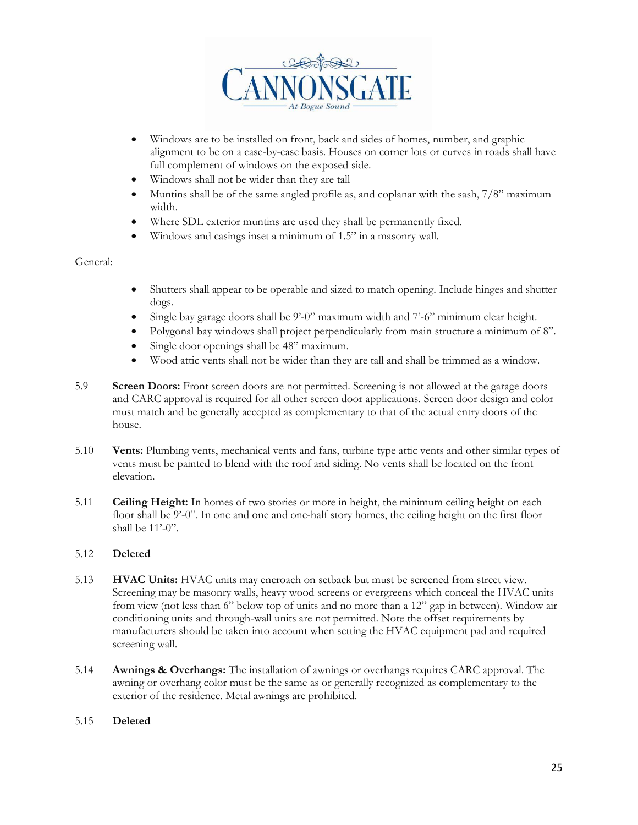

- Windows are to be installed on front, back and sides of homes, number, and graphic alignment to be on a case-by-case basis. Houses on corner lots or curves in roads shall have full complement of windows on the exposed side.
- Windows shall not be wider than they are tall
- Muntins shall be of the same angled profile as, and coplanar with the sash,  $7/8$ " maximum width.
- Where SDL exterior muntins are used they shall be permanently fixed.
- Windows and casings inset a minimum of 1.5" in a masonry wall.

#### General:

- Shutters shall appear to be operable and sized to match opening. Include hinges and shutter dogs.
- Single bay garage doors shall be  $9^{\circ}-0$ " maximum width and  $7^{\circ}-6$ " minimum clear height.
- Polygonal bay windows shall project perpendicularly from main structure a minimum of 8".
- Single door openings shall be 48" maximum.
- Wood attic vents shall not be wider than they are tall and shall be trimmed as a window.
- 5.9 **Screen Doors:** Front screen doors are not permitted. Screening is not allowed at the garage doors and CARC approval is required for all other screen door applications. Screen door design and color must match and be generally accepted as complementary to that of the actual entry doors of the house.
- 5.10 **Vents:** Plumbing vents, mechanical vents and fans, turbine type attic vents and other similar types of vents must be painted to blend with the roof and siding. No vents shall be located on the front elevation.
- 5.11 **Ceiling Height:** In homes of two stories or more in height, the minimum ceiling height on each floor shall be 9'-0". In one and one and one-half story homes, the ceiling height on the first floor shall be 11'-0".

#### 5.12 **Deleted**

- 5.13 **HVAC Units:** HVAC units may encroach on setback but must be screened from street view. Screening may be masonry walls, heavy wood screens or evergreens which conceal the HVAC units from view (not less than 6" below top of units and no more than a 12" gap in between). Window air conditioning units and through-wall units are not permitted. Note the offset requirements by manufacturers should be taken into account when setting the HVAC equipment pad and required screening wall.
- 5.14 **Awnings & Overhangs:** The installation of awnings or overhangs requires CARC approval. The awning or overhang color must be the same as or generally recognized as complementary to the exterior of the residence. Metal awnings are prohibited.

#### 5.15 **Deleted**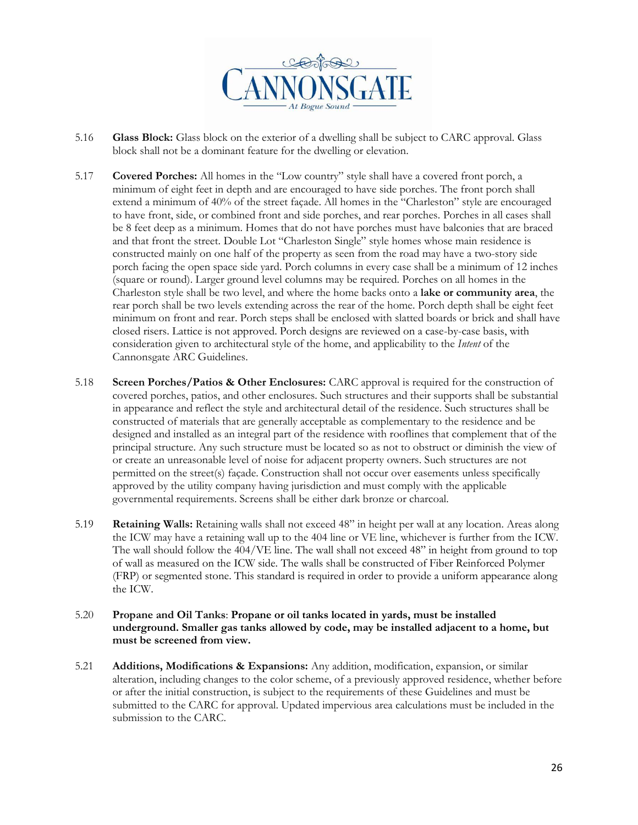

- 5.16 **Glass Block:** Glass block on the exterior of a dwelling shall be subject to CARC approval. Glass block shall not be a dominant feature for the dwelling or elevation.
- 5.17 **Covered Porches:** All homes in the "Low country" style shall have a covered front porch, a minimum of eight feet in depth and are encouraged to have side porches. The front porch shall extend a minimum of 40% of the street façade. All homes in the "Charleston" style are encouraged to have front, side, or combined front and side porches, and rear porches. Porches in all cases shall be 8 feet deep as a minimum. Homes that do not have porches must have balconies that are braced and that front the street. Double Lot "Charleston Single" style homes whose main residence is constructed mainly on one half of the property as seen from the road may have a two-story side porch facing the open space side yard. Porch columns in every case shall be a minimum of 12 inches (square or round). Larger ground level columns may be required. Porches on all homes in the Charleston style shall be two level, and where the home backs onto a **lake or community area**, the rear porch shall be two levels extending across the rear of the home. Porch depth shall be eight feet minimum on front and rear. Porch steps shall be enclosed with slatted boards or brick and shall have closed risers. Lattice is not approved. Porch designs are reviewed on a case-by-case basis, with consideration given to architectural style of the home, and applicability to the *Intent* of the Cannonsgate ARC Guidelines.
- 5.18 **Screen Porches/Patios & Other Enclosures:** CARC approval is required for the construction of covered porches, patios, and other enclosures. Such structures and their supports shall be substantial in appearance and reflect the style and architectural detail of the residence. Such structures shall be constructed of materials that are generally acceptable as complementary to the residence and be designed and installed as an integral part of the residence with rooflines that complement that of the principal structure. Any such structure must be located so as not to obstruct or diminish the view of or create an unreasonable level of noise for adjacent property owners. Such structures are not permitted on the street(s) façade. Construction shall not occur over easements unless specifically approved by the utility company having jurisdiction and must comply with the applicable governmental requirements. Screens shall be either dark bronze or charcoal.
- 5.19 **Retaining Walls:** Retaining walls shall not exceed 48" in height per wall at any location. Areas along the ICW may have a retaining wall up to the 404 line or VE line, whichever is further from the ICW. The wall should follow the 404/VE line. The wall shall not exceed 48" in height from ground to top of wall as measured on the ICW side. The walls shall be constructed of Fiber Reinforced Polymer (FRP) or segmented stone. This standard is required in order to provide a uniform appearance along the ICW.
- 5.20 **Propane and Oil Tanks**: **Propane or oil tanks located in yards, must be installed underground. Smaller gas tanks allowed by code, may be installed adjacent to a home, but must be screened from view.**
- 5.21 **Additions, Modifications & Expansions:** Any addition, modification, expansion, or similar alteration, including changes to the color scheme, of a previously approved residence, whether before or after the initial construction, is subject to the requirements of these Guidelines and must be submitted to the CARC for approval. Updated impervious area calculations must be included in the submission to the CARC.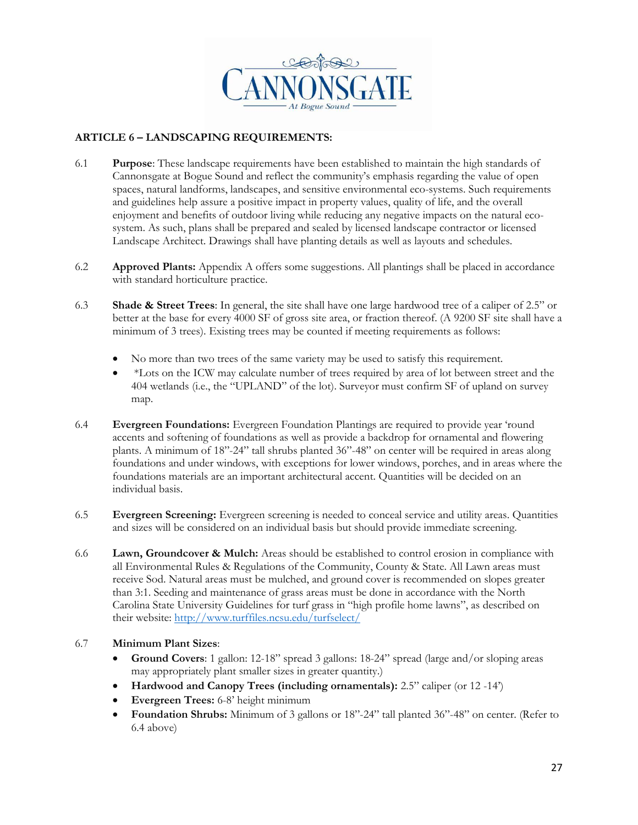

#### **ARTICLE 6 – LANDSCAPING REQUIREMENTS:**

- 6.1 **Purpose**: These landscape requirements have been established to maintain the high standards of Cannonsgate at Bogue Sound and reflect the community's emphasis regarding the value of open spaces, natural landforms, landscapes, and sensitive environmental eco-systems. Such requirements and guidelines help assure a positive impact in property values, quality of life, and the overall enjoyment and benefits of outdoor living while reducing any negative impacts on the natural ecosystem. As such, plans shall be prepared and sealed by licensed landscape contractor or licensed Landscape Architect. Drawings shall have planting details as well as layouts and schedules.
- 6.2 **Approved Plants:** Appendix A offers some suggestions. All plantings shall be placed in accordance with standard horticulture practice.
- 6.3 **Shade & Street Trees**: In general, the site shall have one large hardwood tree of a caliper of 2.5" or better at the base for every 4000 SF of gross site area, or fraction thereof. (A 9200 SF site shall have a minimum of 3 trees). Existing trees may be counted if meeting requirements as follows:
	- No more than two trees of the same variety may be used to satisfy this requirement.
	- \*Lots on the ICW may calculate number of trees required by area of lot between street and the 404 wetlands (i.e., the "UPLAND" of the lot). Surveyor must confirm SF of upland on survey map.
- 6.4 **Evergreen Foundations:** Evergreen Foundation Plantings are required to provide year 'round accents and softening of foundations as well as provide a backdrop for ornamental and flowering plants. A minimum of 18"-24" tall shrubs planted 36"-48" on center will be required in areas along foundations and under windows, with exceptions for lower windows, porches, and in areas where the foundations materials are an important architectural accent. Quantities will be decided on an individual basis.
- 6.5 **Evergreen Screening:** Evergreen screening is needed to conceal service and utility areas. Quantities and sizes will be considered on an individual basis but should provide immediate screening.
- 6.6 **Lawn, Groundcover & Mulch:** Areas should be established to control erosion in compliance with all Environmental Rules & Regulations of the Community, County & State. All Lawn areas must receive Sod. Natural areas must be mulched, and ground cover is recommended on slopes greater than 3:1. Seeding and maintenance of grass areas must be done in accordance with the North Carolina State University Guidelines for turf grass in "high profile home lawns", as described on their website:<http://www.turffiles.ncsu.edu/turfselect/>

#### 6.7 **Minimum Plant Sizes**:

- **Ground Covers**: 1 gallon: 12-18" spread 3 gallons: 18-24" spread (large and/or sloping areas may appropriately plant smaller sizes in greater quantity.)
- **Hardwood and Canopy Trees (including ornamentals):** 2.5" caliper (or 12 -14')
- **Evergreen Trees:** 6-8' height minimum
- **Foundation Shrubs:** Minimum of 3 gallons or 18"-24" tall planted 36"-48" on center. (Refer to 6.4 above)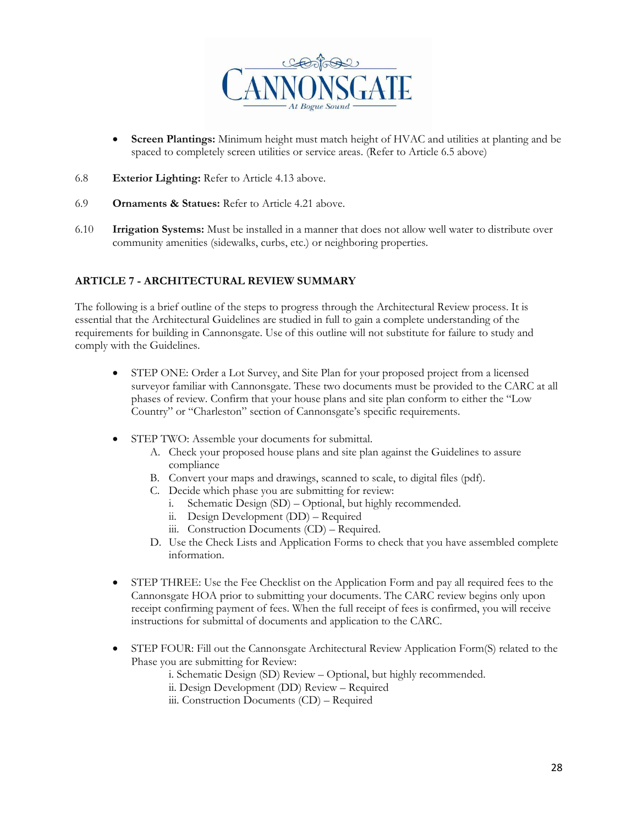

- **Screen Plantings:** Minimum height must match height of HVAC and utilities at planting and be spaced to completely screen utilities or service areas. (Refer to Article 6.5 above)
- 6.8 **Exterior Lighting:** Refer to Article 4.13 above.
- 6.9 **Ornaments & Statues:** Refer to Article 4.21 above.
- 6.10 **Irrigation Systems:** Must be installed in a manner that does not allow well water to distribute over community amenities (sidewalks, curbs, etc.) or neighboring properties.

#### **ARTICLE 7 - ARCHITECTURAL REVIEW SUMMARY**

The following is a brief outline of the steps to progress through the Architectural Review process. It is essential that the Architectural Guidelines are studied in full to gain a complete understanding of the requirements for building in Cannonsgate. Use of this outline will not substitute for failure to study and comply with the Guidelines.

- STEP ONE: Order a Lot Survey, and Site Plan for your proposed project from a licensed surveyor familiar with Cannonsgate. These two documents must be provided to the CARC at all phases of review. Confirm that your house plans and site plan conform to either the "Low Country" or "Charleston" section of Cannonsgate's specific requirements.
- STEP TWO: Assemble your documents for submittal.
	- A. Check your proposed house plans and site plan against the Guidelines to assure compliance
	- B. Convert your maps and drawings, scanned to scale, to digital files (pdf).
	- C. Decide which phase you are submitting for review:
		- i. Schematic Design (SD) Optional, but highly recommended.
		- ii. Design Development (DD) Required
		- iii. Construction Documents (CD) Required.
	- D. Use the Check Lists and Application Forms to check that you have assembled complete information.
- STEP THREE: Use the Fee Checklist on the Application Form and pay all required fees to the Cannonsgate HOA prior to submitting your documents. The CARC review begins only upon receipt confirming payment of fees. When the full receipt of fees is confirmed, you will receive instructions for submittal of documents and application to the CARC.
- STEP FOUR: Fill out the Cannonsgate Architectural Review Application Form(S) related to the Phase you are submitting for Review:
	- i. Schematic Design (SD) Review Optional, but highly recommended.
	- ii. Design Development (DD) Review Required
	- iii. Construction Documents (CD) Required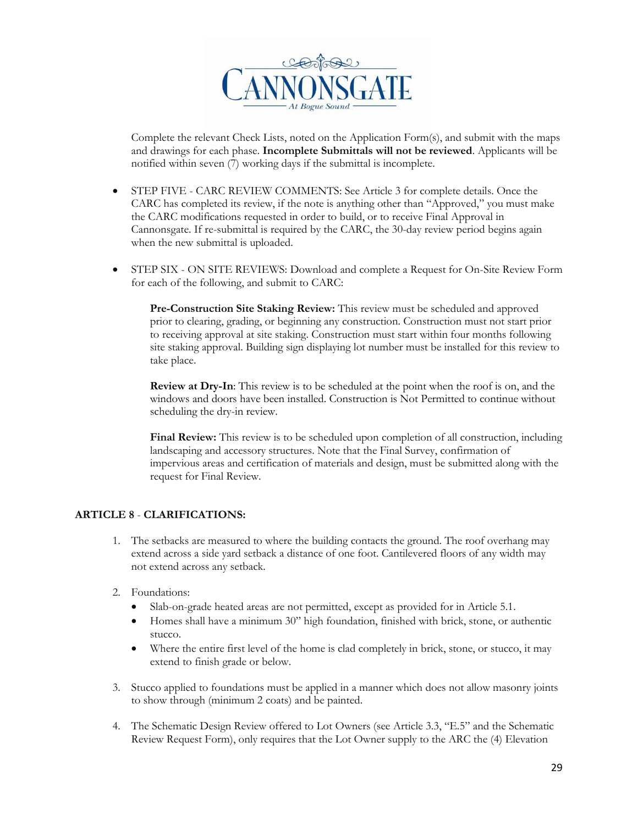

Complete the relevant Check Lists, noted on the Application Form(s), and submit with the maps and drawings for each phase. **Incomplete Submittals will not be reviewed**. Applicants will be notified within seven (7) working days if the submittal is incomplete.

- STEP FIVE CARC REVIEW COMMENTS: See Article 3 for complete details. Once the CARC has completed its review, if the note is anything other than "Approved," you must make the CARC modifications requested in order to build, or to receive Final Approval in Cannonsgate. If re-submittal is required by the CARC, the 30-day review period begins again when the new submittal is uploaded.
- STEP SIX ON SITE REVIEWS: Download and complete a Request for On-Site Review Form for each of the following, and submit to CARC:

**Pre-Construction Site Staking Review:** This review must be scheduled and approved prior to clearing, grading, or beginning any construction. Construction must not start prior to receiving approval at site staking. Construction must start within four months following site staking approval. Building sign displaying lot number must be installed for this review to take place.

**Review at Dry-In**: This review is to be scheduled at the point when the roof is on, and the windows and doors have been installed. Construction is Not Permitted to continue without scheduling the dry-in review.

**Final Review:** This review is to be scheduled upon completion of all construction, including landscaping and accessory structures. Note that the Final Survey, confirmation of impervious areas and certification of materials and design, must be submitted along with the request for Final Review.

#### **ARTICLE 8** - **CLARIFICATIONS:**

- 1. The setbacks are measured to where the building contacts the ground. The roof overhang may extend across a side yard setback a distance of one foot. Cantilevered floors of any width may not extend across any setback.
- 2. Foundations:
	- Slab-on-grade heated areas are not permitted, except as provided for in Article 5.1.
	- Homes shall have a minimum 30" high foundation, finished with brick, stone, or authentic stucco.
	- Where the entire first level of the home is clad completely in brick, stone, or stucco, it may extend to finish grade or below.
- 3. Stucco applied to foundations must be applied in a manner which does not allow masonry joints to show through (minimum 2 coats) and be painted.
- 4. The Schematic Design Review offered to Lot Owners (see Article 3.3, "E.5" and the Schematic Review Request Form), only requires that the Lot Owner supply to the ARC the (4) Elevation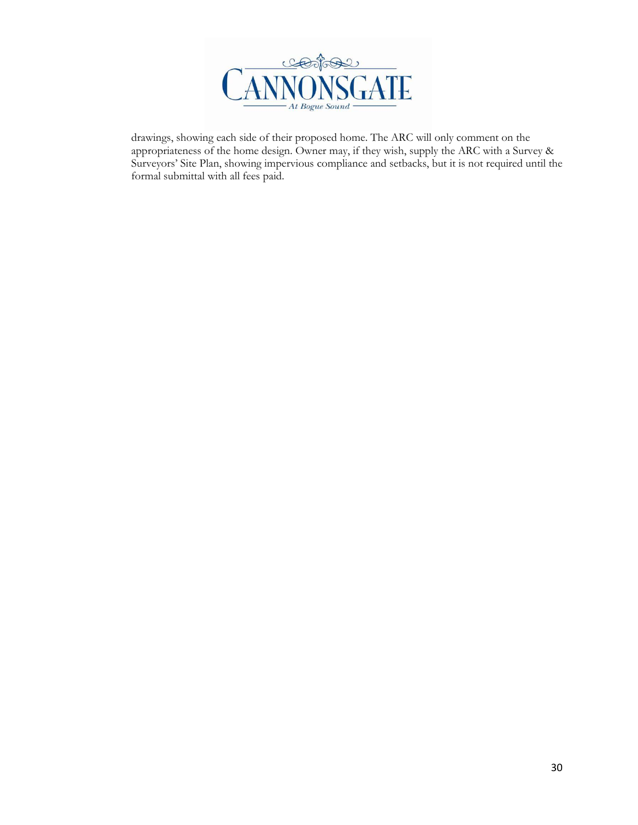

drawings, showing each side of their proposed home. The ARC will only comment on the appropriateness of the home design. Owner may, if they wish, supply the ARC with a Survey & Surveyors' Site Plan, showing impervious compliance and setbacks, but it is not required until the formal submittal with all fees paid.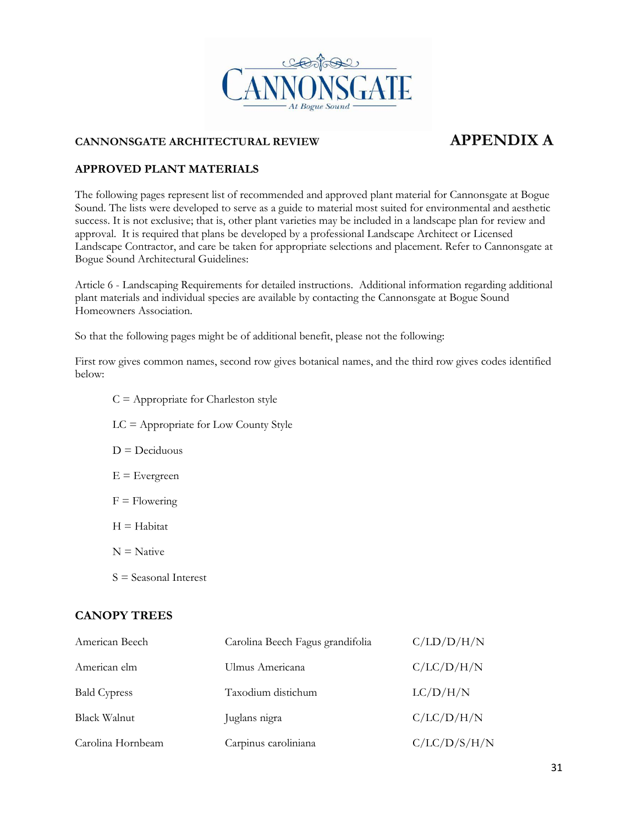

## **CANNONSGATE ARCHITECTURAL REVIEW APPENDIX A**

#### **APPROVED PLANT MATERIALS**

The following pages represent list of recommended and approved plant material for Cannonsgate at Bogue Sound. The lists were developed to serve as a guide to material most suited for environmental and aesthetic success. It is not exclusive; that is, other plant varieties may be included in a landscape plan for review and approval. It is required that plans be developed by a professional Landscape Architect or Licensed Landscape Contractor, and care be taken for appropriate selections and placement. Refer to Cannonsgate at Bogue Sound Architectural Guidelines:

Article 6 - Landscaping Requirements for detailed instructions. Additional information regarding additional plant materials and individual species are available by contacting the Cannonsgate at Bogue Sound Homeowners Association.

So that the following pages might be of additional benefit, please not the following:

First row gives common names, second row gives botanical names, and the third row gives codes identified below:

- $C =$  Appropriate for Charleston style
- LC = Appropriate for Low County Style  $D = Deciduous$  $E =$ Evergreen  $F =$  Flowering  $H = H_3$ bitat  $N =$  Native
- S = Seasonal Interest

### **CANOPY TREES**

| American Beech      | Carolina Beech Fagus grandifolia | C/LD/D/H/N   |
|---------------------|----------------------------------|--------------|
| American elm        | Ulmus Americana                  | C/LC/D/H/N   |
| <b>Bald Cypress</b> | Taxodium distichum               | LC/D/H/N     |
| Black Walnut        | Juglans nigra                    | C/LC/D/H/N   |
| Carolina Hornbeam   | Carpinus caroliniana             | C/LC/D/S/H/N |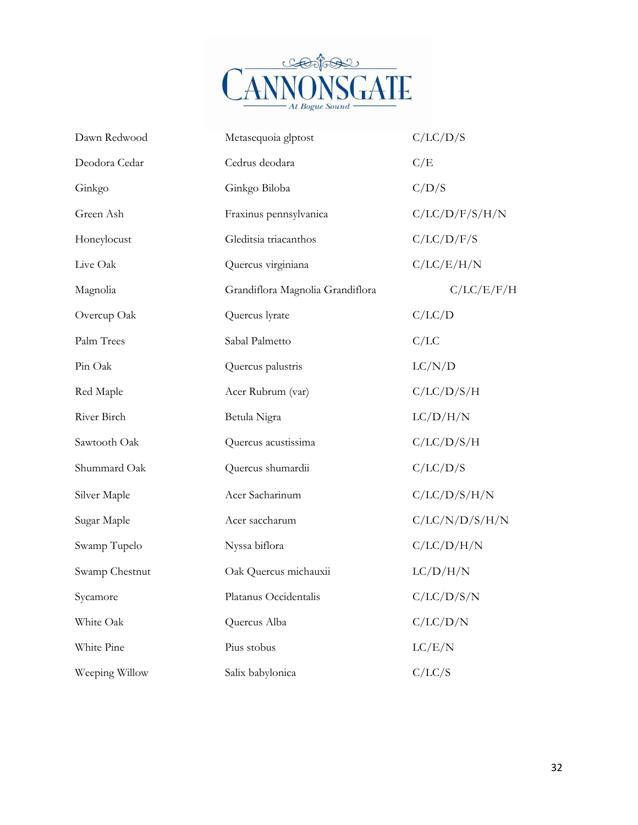

| Dawn Redwood   | Metasequoia glptost              | C/LC/D/S       |
|----------------|----------------------------------|----------------|
| Deodora Cedar  | Cedrus deodara                   | C/E            |
| Ginkgo         | Ginkgo Biloba                    | C/D/S          |
| Green Ash      | Fraxinus pennsylvanica           | C/LC/D/F/S/H/N |
| Honeylocust    | Gleditsia triacanthos            | C/LC/D/F/S     |
| Live Oak       | Quercus virginiana               | C/LC/E/H/N     |
| Magnolia       | Grandiflora Magnolia Grandiflora | C/LC/E/F/H     |
| Overcup Oak    | Quercus lyrate                   | C/LC/D         |
| Palm Trees     | Sabal Palmetto                   | C/LC           |
| Pin Oak        | Quercus palustris                | LC/N/D         |
| Red Maple      | Acer Rubrum (var)                | C/LC/D/S/H     |
| River Birch    | Betula Nigra                     | LC/D/H/N       |
| Sawtooth Oak   | Quercus acustissima              | C/LC/D/S/H     |
| Shummard Oak   | Quercus shumardii                | C/LC/D/S       |
| Silver Maple   | Acer Sacharinum                  | C/LC/D/S/H/N   |
| Sugar Maple    | Acer saccharum                   | C/LC/N/D/S/H/N |
| Swamp Tupelo   | Nyssa biflora                    | C/LC/D/H/N     |
| Swamp Chestnut | Oak Quercus michauxii            | LC/D/H/N       |
| Sycamore       | Platanus Occidentalis            | C/LC/D/S/N     |
| White Oak      | Quercus Alba                     | C/LC/D/N       |
| White Pine     | Pius stobus                      | LC/E/N         |
| Weeping Willow | Salix babylonica                 | C/LC/S         |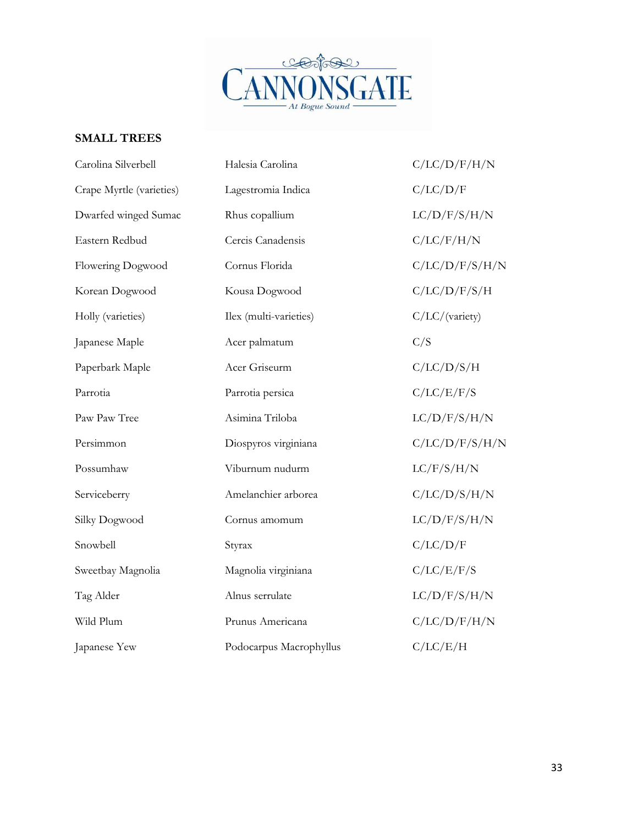

### **SMALL TREES**

| Carolina Silverbell      | Halesia Carolina        | C/LC/D/F/H/N   |
|--------------------------|-------------------------|----------------|
| Crape Myrtle (varieties) | Lagestromia Indica      | C/LC/D/F       |
| Dwarfed winged Sumac     | Rhus copallium          | LC/D/F/S/H/N   |
| Eastern Redbud           | Cercis Canadensis       | C/LC/F/H/N     |
| Flowering Dogwood        | Cornus Florida          | C/LC/D/F/S/H/N |
| Korean Dogwood           | Kousa Dogwood           | C/LC/D/F/S/H   |
| Holly (varieties)        | Ilex (multi-varieties)  | C/LC/(variety) |
| Japanese Maple           | Acer palmatum           | C/S            |
| Paperbark Maple          | Acer Griseurm           | C/LC/D/S/H     |
| Parrotia                 | Parrotia persica        | C/LC/E/F/S     |
| Paw Paw Tree             | Asimina Triloba         | LC/D/F/S/H/N   |
| Persimmon                | Diospyros virginiana    | C/LC/D/F/S/H/N |
| Possumhaw                | Viburnum nudurm         | LC/F/S/H/N     |
| Serviceberry             | Amelanchier arborea     | C/LC/D/S/H/N   |
| Silky Dogwood            | Cornus amomum           | LC/D/F/S/H/N   |
| Snowbell                 | Styrax                  | C/LC/D/F       |
| Sweetbay Magnolia        | Magnolia virginiana     | C/LC/E/F/S     |
| Tag Alder                | Alnus serrulate         | LC/D/F/S/H/N   |
| Wild Plum                | Prunus Americana        | C/LC/D/F/H/N   |
| Japanese Yew             | Podocarpus Macrophyllus | C/LC/E/H       |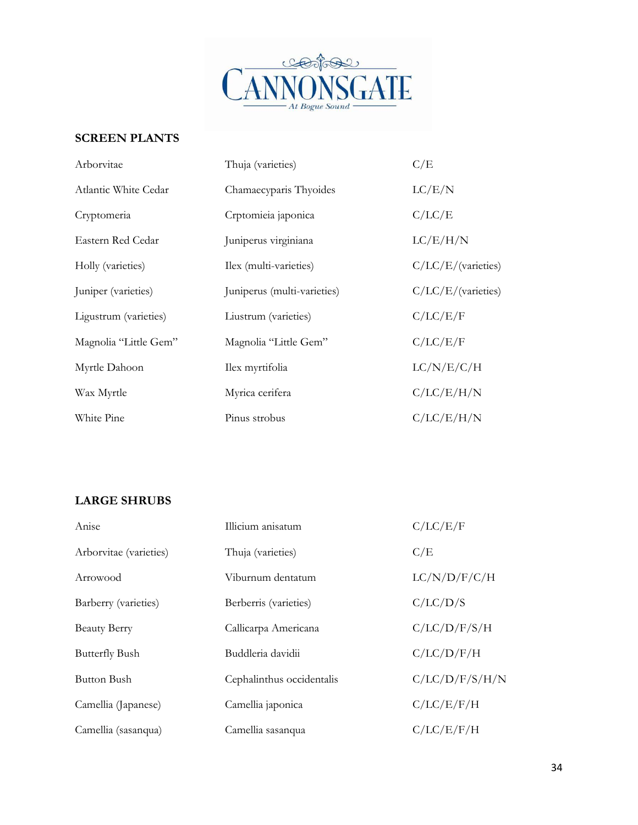

### **SCREEN PLANTS**

| Arborvitae            | Thuja (varieties)           | C/E                |
|-----------------------|-----------------------------|--------------------|
| Atlantic White Cedar  | Chamaecyparis Thyoides      | LC/E/N             |
| Cryptomeria           | Crptomieia japonica         | C/LC/E             |
| Eastern Red Cedar     | Juniperus virginiana        | LC/E/H/N           |
| Holly (varieties)     | Ilex (multi-varieties)      | C/LC/E/(varieties) |
| Juniper (varieties)   | Juniperus (multi-varieties) | C/LC/E/(varieties) |
| Ligustrum (varieties) | Liustrum (varieties)        | C/LC/E/F           |
| Magnolia "Little Gem" | Magnolia "Little Gem"       | C/LC/E/F           |
| Myrtle Dahoon         | Ilex myrtifolia             | LC/N/E/C/H         |
| Wax Myrtle            | Myrica cerifera             | C/LC/E/H/N         |
| White Pine            | Pinus strobus               | C/LC/E/H/N         |

### **LARGE SHRUBS**

| Anise                  | Illicium anisatum         | C/LC/E/F       |
|------------------------|---------------------------|----------------|
| Arborvitae (varieties) | Thuja (varieties)         | C/E            |
| Arrowood               | Viburnum dentatum         | LC/N/D/F/C/H   |
| Barberry (varieties)   | Berberris (varieties)     | C/LC/D/S       |
| <b>Beauty Berry</b>    | Callicarpa Americana      | C/LC/D/F/S/H   |
| <b>Butterfly Bush</b>  | Buddleria davidii         | C/LC/D/F/H     |
| Button Bush            | Cephalinthus occidentalis | C/LC/D/F/S/H/N |
| Camellia (Japanese)    | Camellia japonica         | C/LC/E/F/H     |
| Camellia (sasanqua)    | Camellia sasanqua         | C/LC/E/F/H     |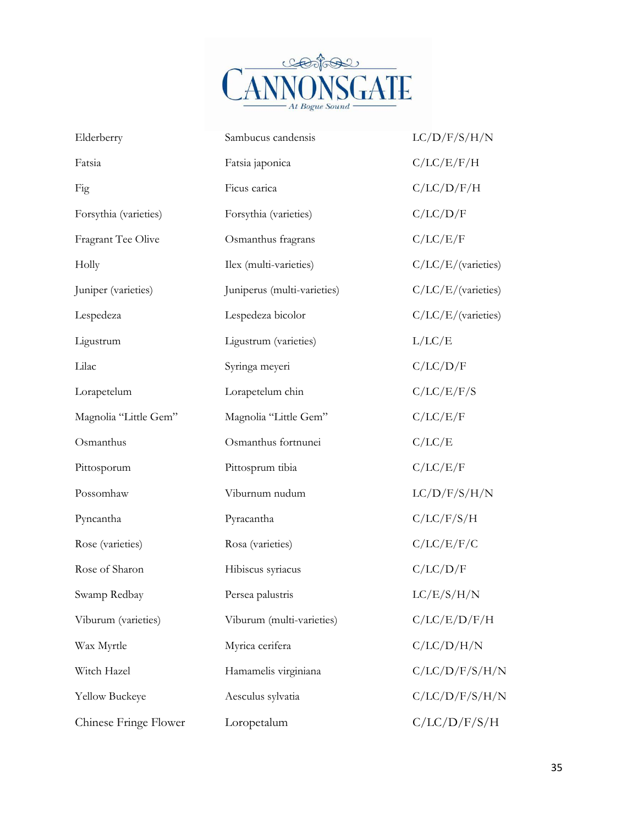

| Elderberry            | Sambucus candensis          | LC/D/F/S/H/N       |
|-----------------------|-----------------------------|--------------------|
| Fatsia                | Fatsia japonica             | C/LC/E/F/H         |
| Fig                   | Ficus carica                | C/LC/D/F/H         |
| Forsythia (varieties) | Forsythia (varieties)       | C/LC/D/F           |
| Fragrant Tee Olive    | Osmanthus fragrans          | C/LC/E/F           |
| Holly                 | Ilex (multi-varieties)      | C/LC/E/(varieties) |
| Juniper (varieties)   | Juniperus (multi-varieties) | C/LC/E/(varieties) |
| Lespedeza             | Lespedeza bicolor           | C/LC/E/(varieties) |
| Ligustrum             | Ligustrum (varieties)       | L/LC/E             |
| Lilac                 | Syringa meyeri              | C/LC/D/F           |
| Lorapetelum           | Lorapetelum chin            | C/LC/E/F/S         |
| Magnolia "Little Gem" | Magnolia "Little Gem"       | C/LC/E/F           |
| Osmanthus             | Osmanthus fortnunei         | C/LC/E             |
| Pittosporum           | Pittosprum tibia            | C/LC/E/F           |
| Possomhaw             | Viburnum nudum              | LC/D/F/S/H/N       |
| Pyncantha             | Pyracantha                  | C/LC/F/S/H         |
| Rose (varieties)      | Rosa (varieties)            | C/LC/E/F/C         |
| Rose of Sharon        | Hibiscus syriacus           | C/LC/D/F           |
| Swamp Redbay          | Persea palustris            | LC/E/S/H/N         |
| Viburum (varieties)   | Viburum (multi-varieties)   | C/LC/E/D/F/H       |
| Wax Myrtle            | Myrica cerifera             | C/LC/D/H/N         |
| Witch Hazel           | Hamamelis virginiana        | C/LC/D/F/S/H/N     |
| Yellow Buckeye        | Aesculus sylvatia           | C/LC/D/F/S/H/N     |
| Chinese Fringe Flower | Loropetalum                 | C/LC/D/F/S/H       |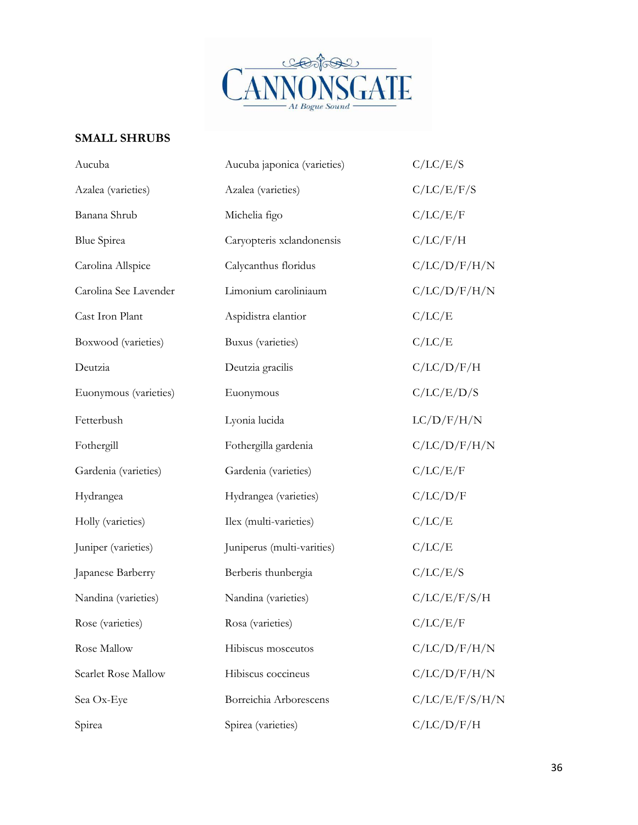

### **SMALL SHRUBS**

| Aucuba                | Aucuba japonica (varieties) | C/LC/E/S       |
|-----------------------|-----------------------------|----------------|
| Azalea (varieties)    | Azalea (varieties)          | C/LC/E/F/S     |
| Banana Shrub          | Michelia figo               | C/LC/E/F       |
| <b>Blue Spirea</b>    | Caryopteris xclandonensis   | C/LC/F/H       |
| Carolina Allspice     | Calycanthus floridus        | C/LC/D/F/H/N   |
| Carolina See Lavender | Limonium caroliniaum        | C/LC/D/F/H/N   |
| Cast Iron Plant       | Aspidistra elantior         | C/LC/E         |
| Boxwood (varieties)   | Buxus (varieties)           | C/LC/E         |
| Deutzia               | Deutzia gracilis            | C/LC/D/F/H     |
| Euonymous (varieties) | Euonymous                   | C/LC/E/D/S     |
| Fetterbush            | Lyonia lucida               | LC/D/F/H/N     |
| Fothergill            | Fothergilla gardenia        | C/LC/D/F/H/N   |
| Gardenia (varieties)  | Gardenia (varieties)        | C/LC/E/F       |
| Hydrangea             | Hydrangea (varieties)       | C/LC/D/F       |
| Holly (varieties)     | Ilex (multi-varieties)      | C/LC/E         |
| Juniper (varieties)   | Juniperus (multi-varities)  | C/LC/E         |
| Japanese Barberry     | Berberis thunbergia         | C/LC/E/S       |
| Nandina (varieties)   | Nandina (varieties)         | C/LC/E/F/S/H   |
| Rose (varieties)      | Rosa (varieties)            | C/LC/E/F       |
| Rose Mallow           | Hibiscus mosceutos          | C/LC/D/F/H/N   |
| Scarlet Rose Mallow   | Hibiscus coccineus          | C/LC/D/F/H/N   |
| Sea Ox-Eye            | Borreichia Arborescens      | C/LC/E/F/S/H/N |
| Spirea                | Spirea (varieties)          | C/LC/D/F/H     |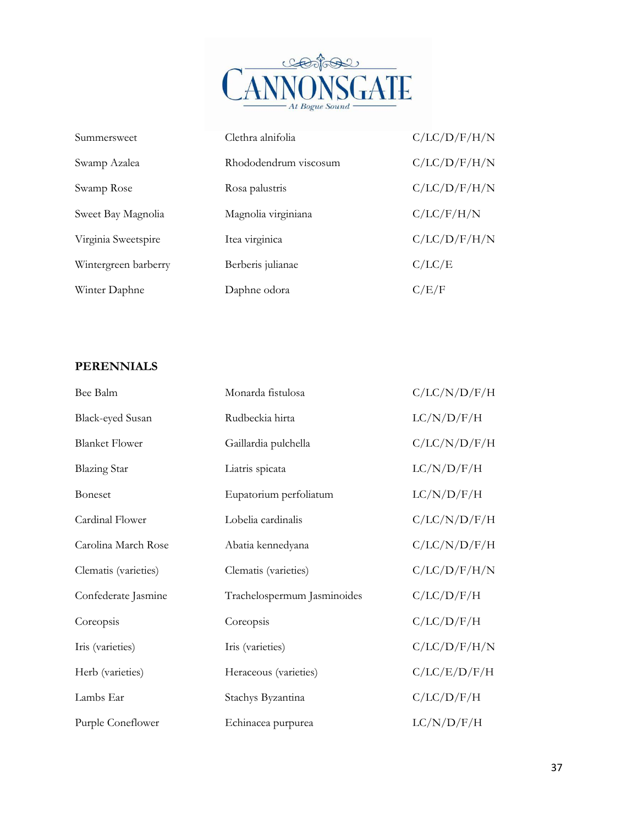

| Summersweet          | Clethra alnifolia     | C/LC/D/F/H/N |
|----------------------|-----------------------|--------------|
| Swamp Azalea         | Rhododendrum viscosum | C/LC/D/F/H/N |
| Swamp Rose           | Rosa palustris        | C/LC/D/F/H/N |
| Sweet Bay Magnolia   | Magnolia virginiana   | C/LC/F/H/N   |
| Virginia Sweetspire  | Itea virginica        | C/LC/D/F/H/N |
| Wintergreen barberry | Berberis julianae     | C/LC/E       |
| Winter Daphne        | Daphne odora          | C/E/F        |

### **PERENNIALS**

| Bee Balm                | Monarda fistulosa           | C/LC/N/D/F/H |
|-------------------------|-----------------------------|--------------|
| <b>Black-eyed Susan</b> | Rudbeckia hirta             | LC/N/D/F/H   |
| <b>Blanket Flower</b>   | Gaillardia pulchella        | C/LC/N/D/F/H |
| <b>Blazing Star</b>     | Liatris spicata             | LC/N/D/F/H   |
| <b>Boneset</b>          | Eupatorium perfoliatum      | LC/N/D/F/H   |
| Cardinal Flower         | Lobelia cardinalis          | C/LC/N/D/F/H |
| Carolina March Rose     | Abatia kennedyana           | C/LC/N/D/F/H |
| Clematis (varieties)    | Clematis (varieties)        | C/LC/D/F/H/N |
| Confederate Jasmine     | Trachelospermum Jasminoides | C/LC/D/F/H   |
| Coreopsis               | Coreopsis                   | C/LC/D/F/H   |
| Iris (varieties)        | Iris (varieties)            | C/LC/D/F/H/N |
| Herb (varieties)        | Heraceous (varieties)       | C/LC/E/D/F/H |
| Lambs Ear               | Stachys Byzantina           | C/LC/D/F/H   |
| Purple Coneflower       | Echinacea purpurea          | LC/N/D/F/H   |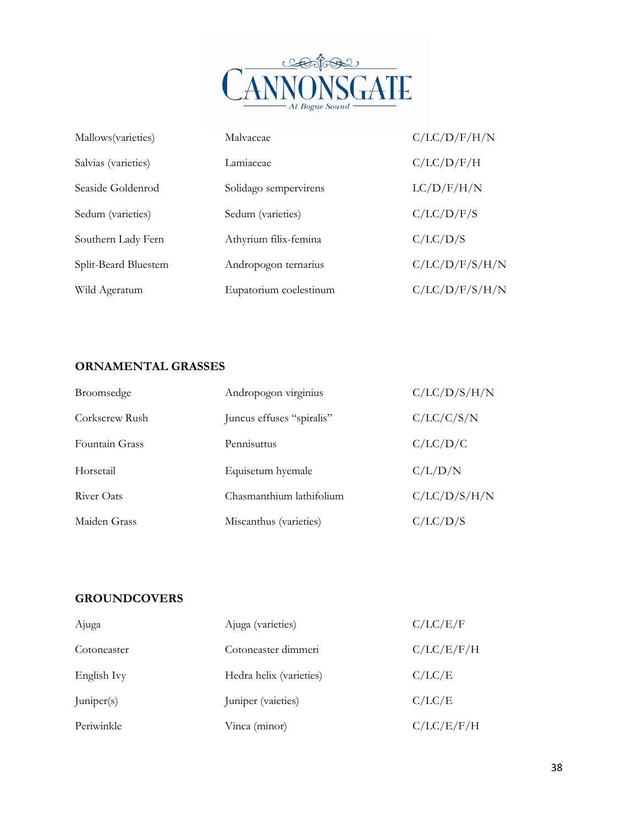

| Mallows (varieties)  | Malvaceae              | C/LC/D/F/H/N   |
|----------------------|------------------------|----------------|
| Salvias (varieties)  | Lamiaceae              | C/LC/D/F/H     |
| Seaside Goldenrod    | Solidago sempervirens  | LC/D/F/H/N     |
| Sedum (varieties)    | Sedum (varieties)      | C/LC/D/F/S     |
| Southern Lady Fern   | Athyrium filix-femina  | C/LC/D/S       |
| Split-Beard Bluestem | Andropogon ternarius   | C/LC/D/F/S/H/N |
| Wild Ageratum        | Eupatorium coelestinum | C/LC/D/F/S/H/N |

### **ORNAMENTAL GRASSES**

| Broomsedge     | Andropogon virginius      | C/LC/D/S/H/N |
|----------------|---------------------------|--------------|
| Corkscrew Rush | Juncus effuses "spiralis" | C/LC/C/S/N   |
| Fountain Grass | Pennisuttus               | C/LC/D/C     |
| Horsetail      | Equisetum hyemale         | C/L/D/N      |
| River Oats     | Chasmanthium lathifolium  | C/LC/D/S/H/N |
| Maiden Grass   | Miscanthus (varieties)    | C/LC/D/S     |

### **GROUNDCOVERS**

| Ajuga       | Ajuga (varieties)       | C/LC/E/F   |
|-------------|-------------------------|------------|
| Cotoneaster | Cotoneaster dimmeri     | C/LC/E/F/H |
| English Ivy | Hedra helix (varieties) | C/LC/E     |
| Juniper(s)  | Juniper (vaieties)      | C/LC/E     |
| Periwinkle  | Vinca (minor)           | C/LC/E/F/H |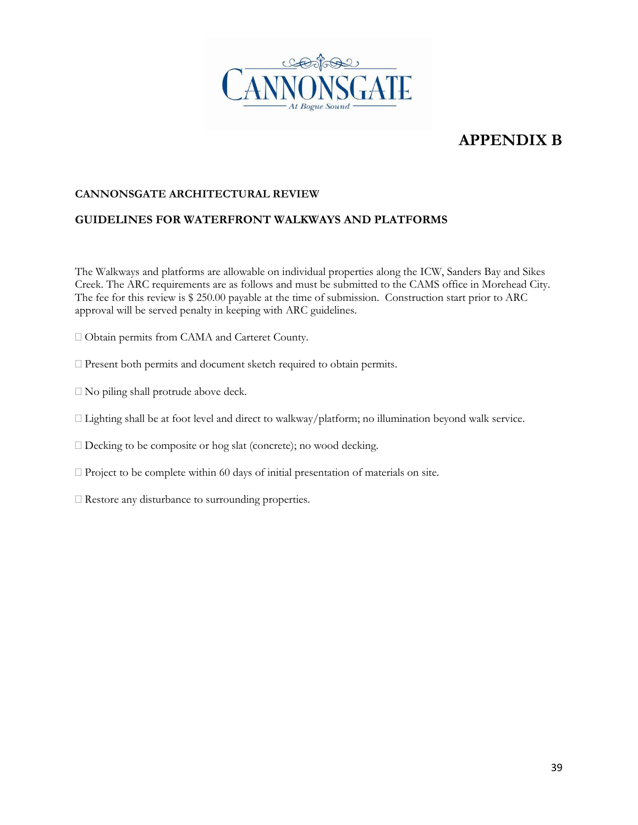

### **APPENDIX B**

#### **CANNONSGATE ARCHITECTURAL REVIEW**

#### **GUIDELINES FOR WATERFRONT WALKWAYS AND PLATFORMS**

The Walkways and platforms are allowable on individual properties along the ICW, Sanders Bay and Sikes Creek. The ARC requirements are as follows and must be submitted to the CAMS office in Morehead City. The fee for this review is \$ 250.00 payable at the time of submission. Construction start prior to ARC approval will be served penalty in keeping with ARC guidelines.

- Obtain permits from CAMA and Carteret County.
- Present both permits and document sketch required to obtain permits.
- No piling shall protrude above deck.
- $\Box$  Lighting shall be at foot level and direct to walkway/platform; no illumination beyond walk service.
- Decking to be composite or hog slat (concrete); no wood decking.
- $\Box$  Project to be complete within 60 days of initial presentation of materials on site.
- $\square$  Restore any disturbance to surrounding properties.